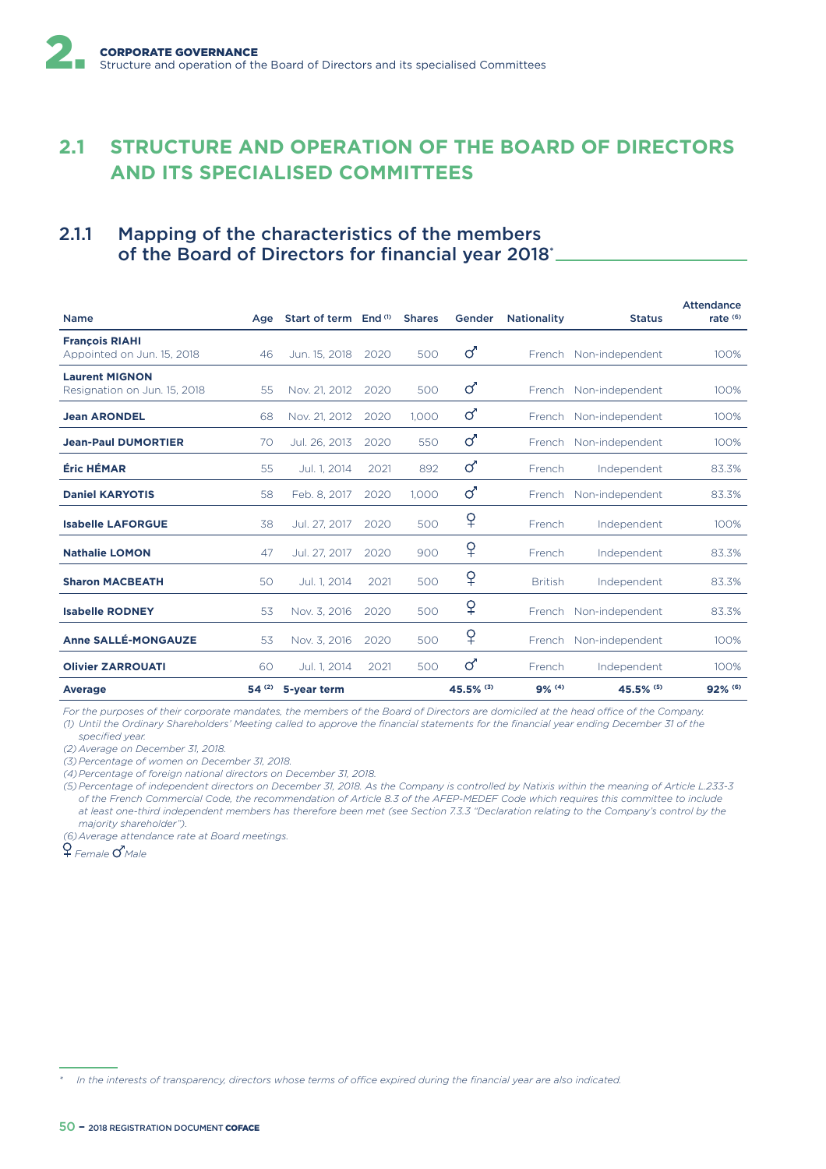# **2.1 STRUCTURE AND OPERATION OF THE BOARD OF DIRECTORS AND ITS SPECIALISED COMMITTEES**

# 2.1.1 Mapping of the characteristics of the members of the Board of Directors for financial year 2018\*

| <b>Name</b>                                           | Age   | Start of term End <sup>(1)</sup> |      | <b>Shares</b> | Gender         | <b>Nationality</b> | <b>Status</b>          | <b>Attendance</b><br>rate $(6)$ |
|-------------------------------------------------------|-------|----------------------------------|------|---------------|----------------|--------------------|------------------------|---------------------------------|
|                                                       |       |                                  |      |               |                |                    |                        |                                 |
| <b>François RIAHI</b><br>Appointed on Jun. 15, 2018   | 46    | Jun. 15, 2018                    | 2020 | 500           | ර              | French             | Non-independent        | 100%                            |
| <b>Laurent MIGNON</b><br>Resignation on Jun. 15, 2018 | 55    | Nov. 21, 2012                    | 2020 | 500           | ර              | French             | Non-independent        | 100%                            |
| <b>Jean ARONDEL</b>                                   | 68    | Nov. 21, 2012                    | 2020 | 1.000         | ර              |                    | French Non-independent | 100%                            |
| <b>Jean-Paul DUMORTIER</b>                            | 70    | Jul. 26, 2013                    | 2020 | 550           | ර              | French             | Non-independent        | 100%                            |
| Éric HÉMAR                                            | 55    | Jul. 1, 2014                     | 2021 | 892           | $\sigma$       | <b>French</b>      | Independent            | 83.3%                           |
| <b>Daniel KARYOTIS</b>                                | 58    | Feb. 8, 2017                     | 2020 | 1.000         | ්              | French             | Non-independent        | 83.3%                           |
| <b>Isabelle LAFORGUE</b>                              | 38    | Jul. 27, 2017                    | 2020 | 500           | ¥              | French             | Independent            | 100%                            |
| <b>Nathalie LOMON</b>                                 | 47    | Jul. 27, 2017                    | 2020 | 900           | ¥              | French             | Independent            | 83.3%                           |
| <b>Sharon MACBEATH</b>                                | 50    | Jul. 1, 2014                     | 2021 | 500           | ¥              | <b>British</b>     | Independent            | 83.3%                           |
| <b>Isabelle RODNEY</b>                                | 53    | Nov. 3, 2016                     | 2020 | 500           | $\overline{P}$ | <b>French</b>      | Non-independent        | 83.3%                           |
| <b>Anne SALLÉ-MONGAUZE</b>                            | 53    | Nov. 3, 2016                     | 2020 | 500           | ¥              |                    | French Non-independent | 100%                            |
| <b>Olivier ZARROUATI</b>                              | 60    | Jul. 1, 2014                     | 2021 | 500           | ්              | French             | Independent            | 100%                            |
| Average                                               | 54(2) | 5-year term                      |      |               | 45.5% (3)      | $9%$ (4)           | 45.5% (5)              | 92% (6)                         |

For the purposes of their corporate mandates, the members of the Board of Directors are domiciled at the head office of the Company. *(1) Until the Ordinary Shareholders' Meeting called to approve the financial statements for the financial year ending December 31 of the specified year.*

*(2) Average on December 31, 2018.*

*(3) Percentage of women on December 31, 2018.*

*(4) Percentage of foreign national directors on December 31, 2018.*

*(5) Percentage of independent directors on December 31, 2018. As the Company is controlled by Natixis within the meaning of Article L.233-3 of the French Commercial Code, the recommendation of Article 8.3 of the AFEP-MEDEF Code which requires this committee to include at least one-third independent members has therefore been met (see Section 7.3.3 "Declaration relating to the Company's control by the majority shareholder").*

*(6) Average attendance rate at Board meetings.*

*Female Male*

In the interests of transparency, directors whose terms of office expired during the financial year are also indicated.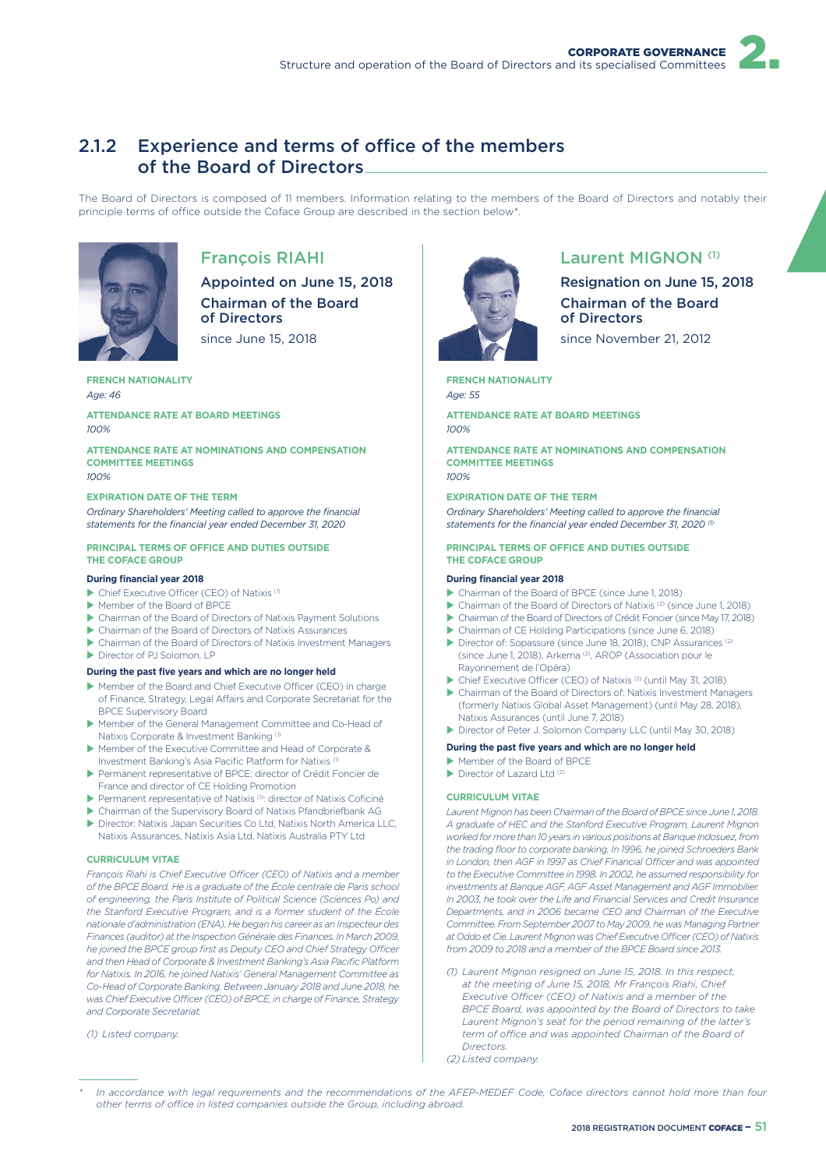# 2.1.2 Experience and terms of office of the members of the Board of Directors

The Board of Directors is composed of 11 members. Information relating to the members of the Board of Directors and notably their principle terms of office outside the Coface Group are described in the section below\*



# François RIAHI

Appointed on June 15, 2018 Chairman of the Board of Directors

since June 15, 2018

## **FRENCH NATIONALITY**

*Age: 46*

#### **ATTENDANCE RATE AT BOARD MEETINGS** *100%*

**ATTENDANCE RATE AT NOMINATIONS AND COMPENSATION COMMITTEE MEETINGS** *100%*

#### **EXPIRATION DATE OF THE TERM**

*Ordinary Shareholders' Meeting called to approve the financial statements for the financial year ended December 31, 2020*

#### **PRINCIPAL TERMS OF OFFICE AND DUTIES OUTSIDE THE COFACE GROUP**

#### **During financial year 2018**

- $\blacktriangleright$  Chief Executive Officer (CEO) of Natixis (1)
- Member of the Board of BPCE
- $\blacktriangleright$  Chairman of the Board of Directors of Natixis Payment Solutions
- X Chairman of the Board of Directors of Natixis Assurances
- $\blacktriangleright$  Chairman of the Board of Directors of Natixis Investment Managers
- Director of PJ Solomon, LP

#### **During the past five years and which are no longer held**

- Member of the Board and Chief Executive Officer (CEO) in charge of Finance, Strategy, Legal Affairs and Corporate Secretariat for the BPCE Supervisory Board
- X Member of the General Management Committee and Co-Head of Natixis Corporate & Investment Banking<sup>(1)</sup>
- X Member of the Executive Committee and Head of Corporate & Investment Banking's Asia Pacific Platform for Natixis
- X Permanent representative of BPCE: director of Crédit Foncier de France and director of CE Holding Promotion
- ▶ Permanent representative of Natixis (1): director of Natixis Coficiné
- $\triangleright$  Chairman of the Supervisory Board of Natixis Pfandbriefbank AG
- ▶ Director: Natixis Japan Securities Co Ltd, Natixis North America LLC, Natixis Assurances, Natixis Asia Ltd, Natixis Australia PTY Ltd

#### **CURRICULUM VITAE**

*Francois Riahi is Chief Executive Officer (CEO) of Natixis and a member of the BPCE Board. He is a graduate of the École centrale de Paris school of engineering, the Paris Institute of Political Science (Sciences Po) and the Stanford Executive Program, and is a former student of the École nationale d'administration (ENA). He began his career as an Inspecteur des Finances (auditor) at the Inspection Générale des Finances. In March 2009,*  he joined the BPCE group first as Deputy CEO and Chief Strategy Officer *and then Head of Corporate & Investment Banking's Asia Pacific Platform for Natixis. In 2016, he joined Natixis' General Management Committee as Co-Head of Corporate Banking. Between January 2018 and June 2018, he*  was Chief Executive Officer (CEO) of BPCE, in charge of Finance, Strategy *and Corporate Secretariat.*

*(1) Listed company.*



### Laurent MIGNON (1)

Resignation on June 15, 2018 Chairman of the Board of Directors

since November 21, 2012

#### **FRENCH NATIONALITY**

*Age: 55*

**ATTENDANCE RATE AT BOARD MEETINGS** *100%*

**ATTENDANCE RATE AT NOMINATIONS AND COMPENSATION COMMITTEE MEETINGS** *100%*

#### **EXPIRATION DATE OF THE TERM**

*Ordinary Shareholders' Meeting called to approve the financial*  statements for the financial year ended December 31, 2020<sup>(1)</sup>

#### **PRINCIPAL TERMS OF OFFICE AND DUTIES OUTSIDE THE COFACE GROUP**

#### **During financial year 2018**

- ▶ Chairman of the Board of BPCE (since June 1, 2018)
- $\triangleright$  Chairman of the Board of Directors of Natixis  $(2)$  (since June 1, 2018)
- ▶ Chairman of the Board of Directors of Crédit Foncier (since May 17, 2018)
- Chairman of CE Holding Participations (since June 6, 2018)
- Director of: Sopassure (since June 18, 2018), CNP Assurances<sup>(2)</sup> (since June 1, 2018), Arkema (2), AROP (Association pour le Rayonnement de l'Opéra)

▶ Chief Executive Officer (CEO) of Natixis<sup>(2)</sup> (until May 31, 2018)

Chairman of the Board of Directors of: Natixis Investment Managers (formerly Natixis Global Asset Management) (until May 28, 2018), Natixis Assurances (until June 7, 2018)

Director of Peter J. Solomon Company LLC (until May 30, 2018)

- **During the past five years and which are no longer held**
- $\blacktriangleright$  Member of the Board of BPCE
- $\blacktriangleright$  Director of Lazard Ltd  $(2)$

#### **CURRICULUM VITAE**

*Laurent Mignon has been Chairman of the Board of BPCE since June 1, 2018. A graduate of HEC and the Stanford Executive Program, Laurent Mignon worked for more than 10 years in various positions at Banque Indosuez, from the trading floor to corporate banking. In 1996, he joined Schroeders Bank in London, then AGF in 1997 as Chief Financial O3cer and was appointed to the Executive Committee in 1998. In 2002, he assumed responsibility for investments at Banque AGF, AGF Asset Management and AGF Immobilier. In 2003, he took over the Life and Financial Services and Credit Insurance Departments, and in 2006 became CEO and Chairman of the Executive Committee. From September 2007 to May 2009, he was Managing Partner at Oddo et Cie. Laurent Mignon was Chief Executive O3cer (CEO) of Natixis from 2009 to 2018 and a member of the BPCE Board since 2013.*

*(1) Laurent Mignon resigned on June 15, 2018. In this respect, at the meeting of June 15, 2018, Mr François Riahi, Chief*  **Executive Officer (CEO) of Natixis and a member of the** *BPCE Board, was appointed by the Board of Directors to take Laurent Mignon's seat for the period remaining of the latter's*  term of office and was appointed Chairman of the Board of *Directors.*

*(2) Listed company.*

*<sup>\*</sup> In accordance with legal requirements and the recommendations of the AFEP-MEDEF Code, Coface directors cannot hold more than four*  other terms of office in listed companies outside the Group, including abroad.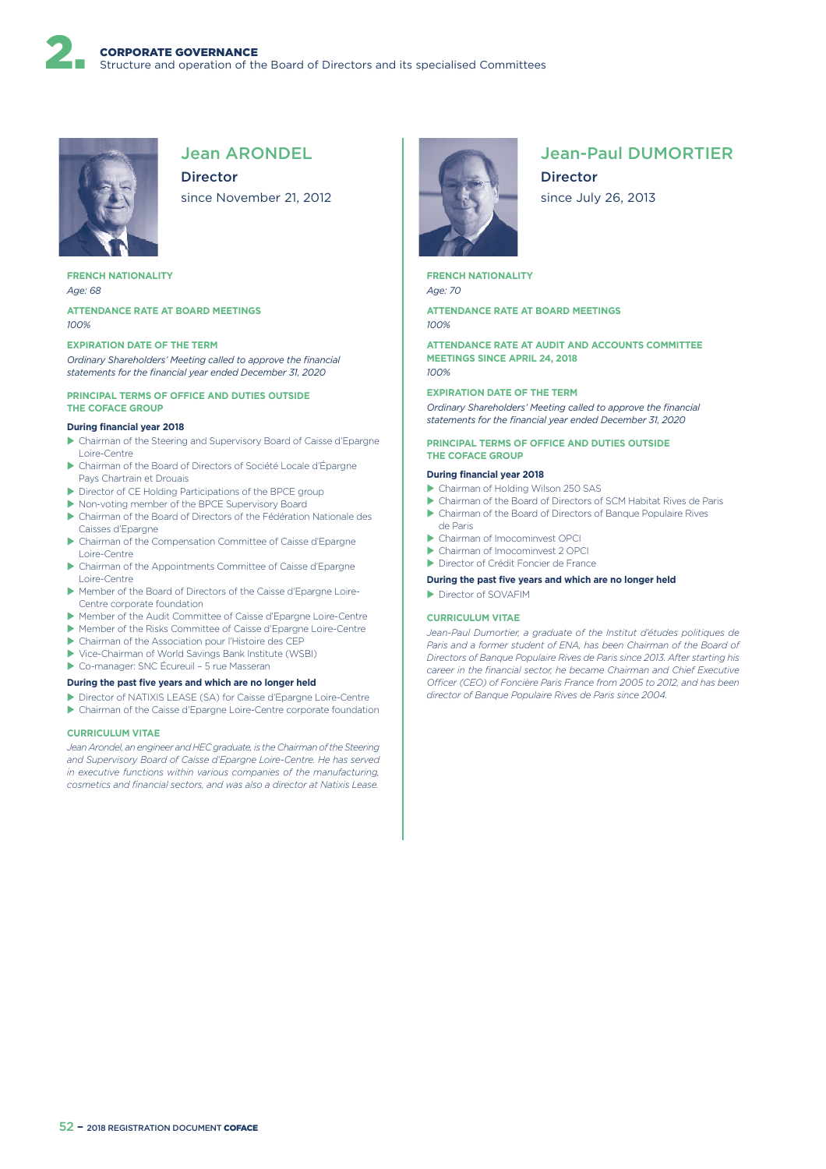

# Jean ARONDEL

Director since November 21, 2012

#### **FRENCH NATIONALITY** *Age: 68*

**ATTENDANCE RATE AT BOARD MEETINGS** *100%*

#### **EXPIRATION DATE OF THE TERM**

*Ordinary Shareholders' Meeting called to approve the financial statements for the financial year ended December 31, 2020*

#### **PRINCIPAL TERMS OF OFFICE AND DUTIES OUTSIDE THE COFACE GROUP**

#### **During financial year 2018**

- ▶ Chairman of the Steering and Supervisory Board of Caisse d'Epargne Loire-Centre
- X Chairman of the Board of Directors of Société Locale d'Épargne Pays Chartrain et Drouais
- ▶ Director of CE Holding Participations of the BPCE group
- ▶ Non-voting member of the BPCE Supervisory Board
- X Chairman of the Board of Directors of the Fédération Nationale des Caisses d'Epargne
- ▶ Chairman of the Compensation Committee of Caisse d'Epargne Loire-Centre
- ▶ Chairman of the Appointments Committee of Caisse d'Epargne Loire-Centre
- X Member of the Board of Directors of the Caisse d'Epargne Loire-Centre corporate foundation
- X Member of the Audit Committee of Caisse d'Epargne Loire-Centre
- X Member of the Risks Committee of Caisse d'Epargne Loire-Centre
- $\blacktriangleright$  Chairman of the Association pour l'Histoire des CEP
- ▶ Vice-Chairman of World Savings Bank Institute (WSBI)
- ▶ Co-manager: SNC Écureuil 5 rue Masseran

#### **During the past five years and which are no longer held**

X Director of NATIXIS LEASE (SA) for Caisse d'Epargne Loire-Centre ▶ Chairman of the Caisse d'Epargne Loire-Centre corporate foundation

### **CURRICULUM VITAE**

Jean Arondel, an engineer and HEC graduate, is the Chairman of the Steering *and Supervisory Board of Caisse d'Epargne Loire-Centre. He has served in executive functions within various companies of the manufacturing, cosmetics and financial sectors, and was also a director at Natixis Lease.*



# Jean-Paul DUMORTIER

**Director** since July 26, 2013

**FRENCH NATIONALITY** *Age: 70*

**ATTENDANCE RATE AT BOARD MEETINGS** *100%*

**ATTENDANCE RATE AT AUDIT AND ACCOUNTS COMMITTEE MEETINGS SINCE APRIL 24, 2018** *100%*

#### **EXPIRATION DATE OF THE TERM**

*Ordinary Shareholders' Meeting called to approve the financial statements for the financial year ended December 31, 2020*

#### **PRINCIPAL TERMS OF OFFICE AND DUTIES OUTSIDE THE COFACE GROUP**

#### **During financial year 2018**

- ▶ Chairman of Holding Wilson 250 SAS
- X Chairman of the Board of Directors of SCM Habitat Rives de Paris
- ▶ Chairman of the Board of Directors of Banque Populaire Rives de Paris
- X Chairman of Imocominvest OPCI
- $\blacktriangleright$  Chairman of Imocominvest 2 OPCI
- X Director of Crédit Foncier de France
- **During the past five years and which are no longer held**
- Director of SOVAFIM

#### **CURRICULUM VITAE**

*Jean-Paul Dumortier, a graduate of the Institut d'études politiques de*  Paris and a former student of ENA, has been Chairman of the Board of *Directors of Banque Populaire Rives de Paris since 2013. After starting his career in the financial sector, he became Chairman and Chief Executive O3cer (CEO) of Foncière Paris France from 2005 to 2012, and has been director of Banque Populaire Rives de Paris since 2004.*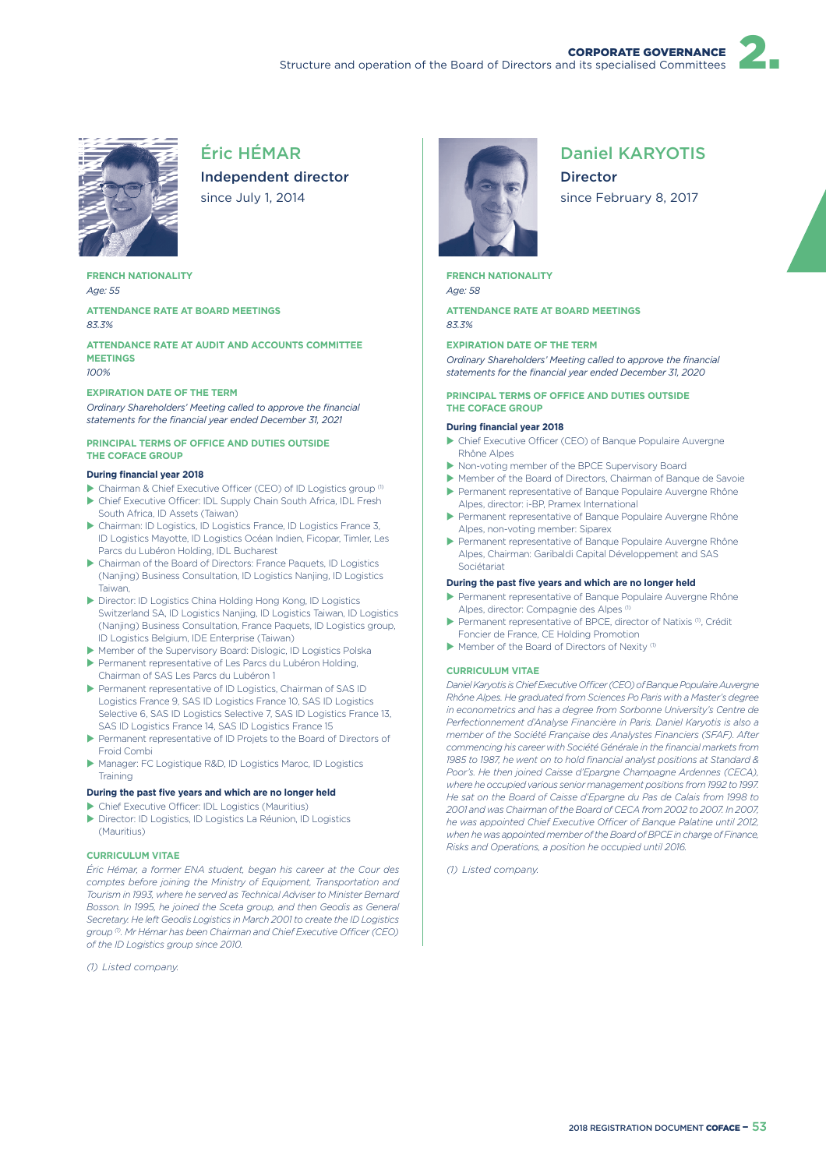

# Éric HÉMAR

Independent director since July 1, 2014

**FRENCH NATIONALITY** *Age: 55*

**ATTENDANCE RATE AT BOARD MEETINGS** *83.3%*

**ATTENDANCE RATE AT AUDIT AND ACCOUNTS COMMITTEE MEETINGS** *100%*

#### **EXPIRATION DATE OF THE TERM**

*Ordinary Shareholders' Meeting called to approve the financial statements for the financial year ended December 31, 2021*

#### **PRINCIPAL TERMS OF OFFICE AND DUTIES OUTSIDE THE COFACE GROUP**

#### **During financial year 2018**

- $\blacktriangleright$  Chairman & Chief Executive Officer (CEO) of ID Logistics group  $^{(1)}$
- In Chief Executive Officer: IDL Supply Chain South Africa, IDL Fresh South Africa, ID Assets (Taiwan)
- ▶ Chairman: ID Logistics, ID Logistics France, ID Logistics France 3, ID Logistics Mayotte, ID Logistics Océan Indien, Ficopar, Timler, Les Parcs du Lubéron Holding, IDL Bucharest
- X Chairman of the Board of Directors: France Paquets, ID Logistics (Nanjing) Business Consultation, ID Logistics Nanjing, ID Logistics Taiwan,
- ▶ Director: ID Logistics China Holding Hong Kong, ID Logistics Switzerland SA, ID Logistics Nanjing, ID Logistics Taiwan, ID Logistics (Nanjing) Business Consultation, France Paquets, ID Logistics group, ID Logistics Belgium, IDE Enterprise (Taiwan)
- X Member of the Supervisory Board: Dislogic, ID Logistics Polska X Permanent representative of Les Parcs du Lubéron Holding,
- Chairman of SAS Les Parcs du Lubéron 1 X Permanent representative of ID Logistics, Chairman of SAS ID Logistics France 9, SAS ID Logistics France 10, SAS ID Logistics Selective 6, SAS ID Logistics Selective 7, SAS ID Logistics France 13,
- SAS ID Logistics France 14, SAS ID Logistics France 15 Permanent representative of ID Projets to the Board of Directors of Froid Combi
- ▶ Manager: FC Logistique R&D, ID Logistics Maroc, ID Logistics Training

#### **During the past five years and which are no longer held**

- $\blacktriangleright$  Chief Executive Officer: IDL Logistics (Mauritius)
- X Director: ID Logistics, ID Logistics La Réunion, ID Logistics (Mauritius)

#### **CURRICULUM VITAE**

*Éric Hémar, a former ENA student, began his career at the Cour des comptes before joining the Ministry of Equipment, Transportation and Tourism in 1993, where he served as Technical Adviser to Minister Bernard Bosson. In 1995, he joined the Sceta group, and then Geodis as General Secretary. He left Geodis Logistics in March 2001 to create the ID Logistics*  group<sup>(0)</sup>. Mr Hémar has been Chairman and Chief Executive Officer (CEO) *of the ID Logistics group since 2010.*

*(1) Listed company.*



# Daniel KARYOTIS

Director since February 8, 2017

**FRENCH NATIONALITY** *Age: 58*

**ATTENDANCE RATE AT BOARD MEETINGS** *83.3%*

#### **EXPIRATION DATE OF THE TERM**

*Ordinary Shareholders' Meeting called to approve the financial statements for the financial year ended December 31, 2020*

#### **PRINCIPAL TERMS OF OFFICE AND DUTIES OUTSIDE THE COFACE GROUP**

#### **During financial year 2018**

- ▶ Chief Executive Officer (CEO) of Banque Populaire Auvergne Rhône Alpes
- ▶ Non-voting member of the BPCE Supervisory Board
- Member of the Board of Directors, Chairman of Banque de Savoie Permanent representative of Banque Populaire Auvergne Rhône
- Alpes, director: i-BP, Pramex International X Permanent representative of Banque Populaire Auvergne Rhône
- Alpes, non-voting member: Siparex
- ▶ Permanent representative of Banque Populaire Auvergne Rhône Alpes, Chairman: Garibaldi Capital Développement and SAS Sociétariat

#### **During the past five years and which are no longer held**

- **>** Permanent representative of Banque Populaire Auvergne Rhône Alpes, director: Compagnie des Alpes (1)
- Permanent representative of BPCE, director of Natixis (1), Crédit Foncier de France, CE Holding Promotion
- $\blacktriangleright$  Member of the Board of Directors of Nexity (1)

#### **CURRICULUM VITAE**

*Daniel Karyotis is Chief Executive O3cer (CEO) of Banque Populaire Auvergne Rhône Alpes. He graduated from Sciences Po Paris with a Master's degree in econometrics and has a degree from Sorbonne University's Centre de Perfectionnement d'Analyse Financière in Paris. Daniel Karyotis is also a member of the Société Française des Analystes Financiers (SFAF). After commencing his career with Société Générale in the financial markets from 1985 to 1987, he went on to hold financial analyst positions at Standard & Poor's. He then joined Caisse d'Epargne Champagne Ardennes (CECA), where he occupied various senior management positions from 1992 to 1997. He sat on the Board of Caisse d'Epargne du Pas de Calais from 1998 to 2001 and was Chairman of the Board of CECA from 2002 to 2007. In 2007,*  he was appointed Chief Executive Officer of Banque Palatine until 2012, *when he was appointed member of the Board of BPCE in charge of Finance, Risks and Operations, a position he occupied until 2016.*

*(1) Listed company.*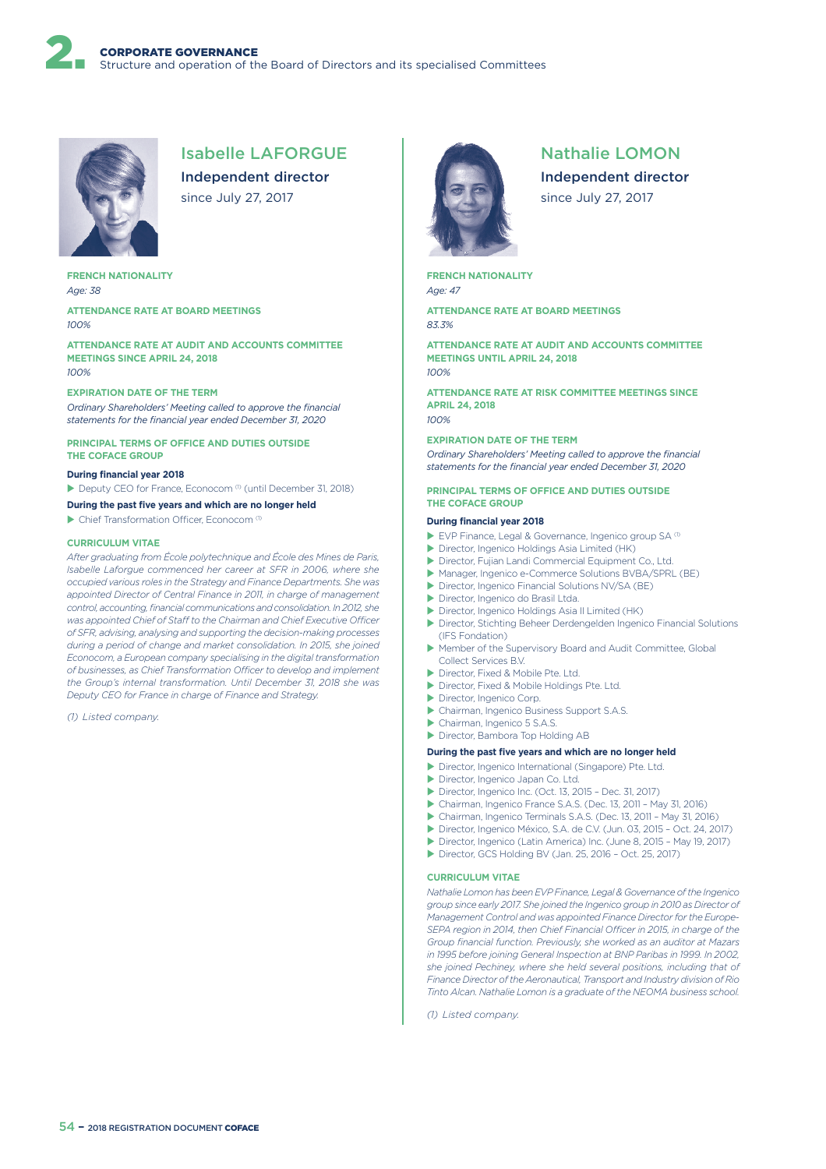

# Isabelle LAFORGUE

Independent director since July 27, 2017

**FRENCH NATIONALITY** *Age: 38*

**ATTENDANCE RATE AT BOARD MEETINGS** *100%*

**ATTENDANCE RATE AT AUDIT AND ACCOUNTS COMMITTEE MEETINGS SINCE APRIL 24, 2018** *100%*

#### **EXPIRATION DATE OF THE TERM**

*Ordinary Shareholders' Meeting called to approve the financial statements for the financial year ended December 31, 2020*

**PRINCIPAL TERMS OF OFFICE AND DUTIES OUTSIDE THE COFACE GROUP**

#### **During financial year 2018**

▶ Deputy CEO for France, Econocom<sup>(1)</sup> (until December 31, 2018)

**During the past five years and which are no longer held**

 $\blacktriangleright$  Chief Transformation Officer, Econocom (1)

#### **CURRICULUM VITAE**

*After graduating from École polytechnique and École des Mines de Paris, Isabelle Laforgue commenced her career at SFR in 2006, where she occupied various roles in the Strategy and Finance Departments. She was appointed Director of Central Finance in 2011, in charge of management control, accounting, financial communications and consolidation. In 2012, she*  was appointed Chief of Staff to the Chairman and Chief Executive Officer *of SFR, advising, analysing and supporting the decision-making processes during a period of change and market consolidation. In 2015, she joined Econocom, a European company specialising in the digital transformation*  of businesses, as Chief Transformation Officer to develop and implement *the Group's internal transformation. Until December 31, 2018 she was Deputy CEO for France in charge of Finance and Strategy.*

*(1) Listed company.*



# Nathalie LOMON

Independent director since July 27, 2017

**FRENCH NATIONALITY** *Age: 47*

**ATTENDANCE RATE AT BOARD MEETINGS** *83.3%*

**ATTENDANCE RATE AT AUDIT AND ACCOUNTS COMMITTEE MEETINGS UNTIL APRIL 24, 2018** *100%*

**ATTENDANCE RATE AT RISK COMMITTEE MEETINGS SINCE APRIL 24, 2018** *100%*

#### **EXPIRATION DATE OF THE TERM**

*Ordinary Shareholders' Meeting called to approve the financial statements for the financial year ended December 31, 2020*

#### **PRINCIPAL TERMS OF OFFICE AND DUTIES OUTSIDE THE COFACE GROUP**

#### **During financial year 2018**

- $\blacktriangleright$  EVP Finance, Legal & Governance, Ingenico group SA (1)
- ▶ Director, Ingenico Holdings Asia Limited (HK)
- ▶ Director, Fujian Landi Commercial Equipment Co., Ltd.
- ▶ Manager, Ingenico e-Commerce Solutions BVBA/SPRL (BE)
- ▶ Director, Ingenico Financial Solutions NV/SA (BE)
- ▶ Director, Ingenico do Brasil Ltda.
- ▶ Director, Ingenico Holdings Asia II Limited (HK)
- Director, Stichting Beheer Derdengelden Ingenico Financial Solutions (IFS Fondation)
- ▶ Member of the Supervisory Board and Audit Committee, Global Collect Services B.V.
- Director, Fixed & Mobile Pte. Ltd.
- ▶ Director, Fixed & Mobile Holdings Pte. Ltd.
- Director, Ingenico Corp.
- X Chairman, Ingenico Business Support S.A.S.
- $\blacktriangleright$  Chairman, Ingenico 5 S.A.S. ▶ Director, Bambora Top Holding AB
- 

### **During the past five years and which are no longer held**

- X Director, Ingenico International (Singapore) Pte. Ltd.
- Director, Ingenico Japan Co. Ltd.
- ▶ Director, Ingenico Inc. (Oct. 13, 2015 Dec. 31, 2017)
- ▶ Chairman, Ingenico France S.A.S. (Dec. 13, 2011 May 31, 2016)
- X Chairman, Ingenico Terminals S.A.S. (Dec. 13, 2011 May 31, 2016)
- ▶ Director, Ingenico México, S.A. de C.V. (Jun. 03, 2015 Oct. 24, 2017)
- Director, Ingenico (Latin America) Inc. (June 8, 2015 May 19, 2017)
- ▶ Director, GCS Holding BV (Jan. 25, 2016 Oct. 25, 2017)

#### **CURRICULUM VITAE**

*Nathalie Lomon has been EVP Finance, Legal & Governance of the Ingenico group since early 2017. She joined the Ingenico group in 2010 as Director of Management Control and was appointed Finance Director for the Europe-SEPA region in 2014, then Chief Financial Officer in 2015, in charge of the Group financial function. Previously, she worked as an auditor at Mazars in 1995 before joining General Inspection at BNP Paribas in 1999. In 2002, she joined Pechiney, where she held several positions, including that of Finance Director of the Aeronautical, Transport and Industry division of Rio Tinto Alcan. Nathalie Lomon is a graduate of the NEOMA business school.*

*(1) Listed company.*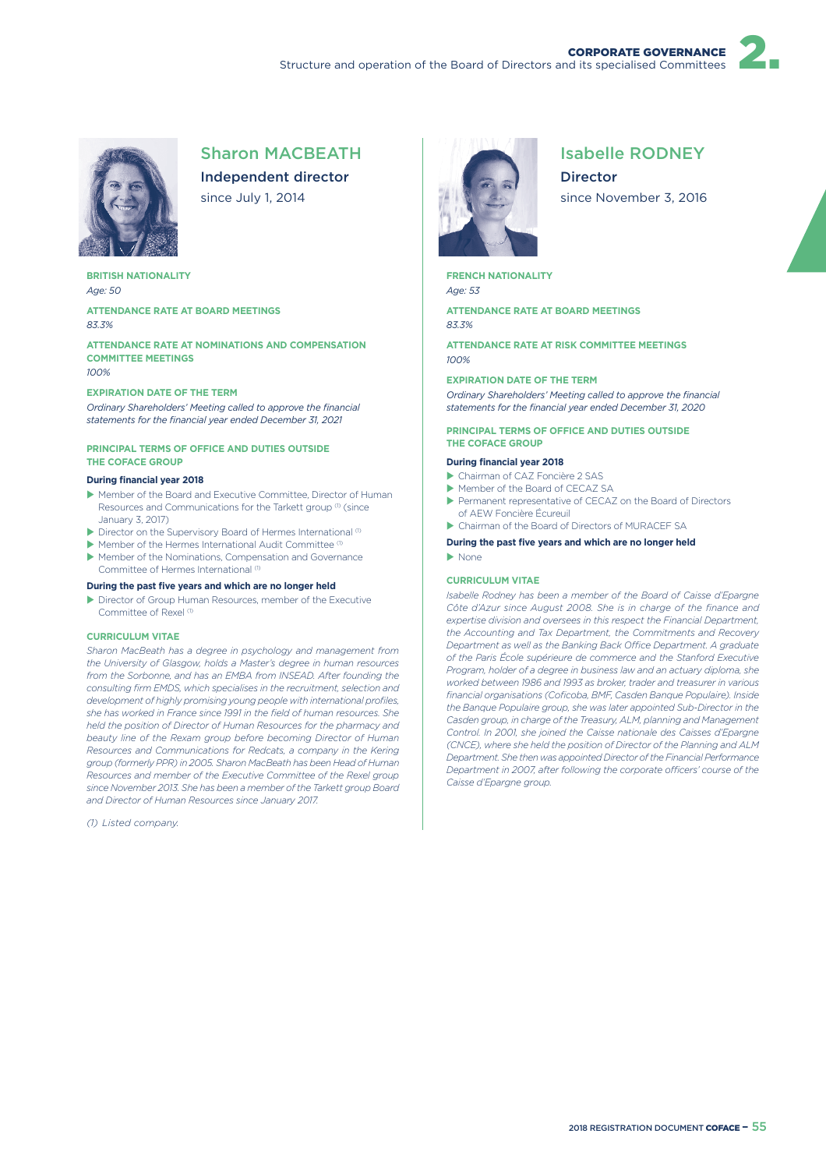

### Sharon MACBEATH

Independent director since July 1, 2014

**BRITISH NATIONALITY** *Age: 50*

**ATTENDANCE RATE AT BOARD MEETINGS** *83.3%*

**ATTENDANCE RATE AT NOMINATIONS AND COMPENSATION COMMITTEE MEETINGS** *100%*

#### **EXPIRATION DATE OF THE TERM**

*Ordinary Shareholders' Meeting called to approve the financial statements for the financial year ended December 31, 2021*

#### **PRINCIPAL TERMS OF OFFICE AND DUTIES OUTSIDE THE COFACE GROUP**

#### **During financial year 2018**

- X Member of the Board and Executive Committee, Director of Human Resources and Communications for the Tarkett group (1) (since January 3, 2017)
- $\blacktriangleright$  Director on the Supervisory Board of Hermes International (1)
- $\blacktriangleright$  Member of the Hermes International Audit Committee (1)
- $\blacktriangleright$  Member of the Nominations, Compensation and Governance Committee of Hermes International<sup>(1)</sup>

#### **During the past five years and which are no longer held**

Director of Group Human Resources, member of the Executive Committee of Rexel<sup>(1)</sup>

#### **CURRICULUM VITAE**

*Sharon MacBeath has a degree in psychology and management from the University of Glasgow, holds a Master's degree in human resources from the Sorbonne, and has an EMBA from INSEAD. After founding the consulting firm EMDS, which specialises in the recruitment, selection and development of highly promising young people with international profiles, she has worked in France since 1991 in the field of human resources. She held the position of Director of Human Resources for the pharmacy and beauty line of the Rexam group before becoming Director of Human Resources and Communications for Redcats, a company in the Kering group (formerly PPR) in 2005. Sharon MacBeath has been Head of Human Resources and member of the Executive Committee of the Rexel group since November 2013. She has been a member of the Tarkett group Board and Director of Human Resources since January 2017.*

*(1) Listed company.*



# Isabelle RODNEY

Director since November 3, 2016

**FRENCH NATIONALITY** *Age: 53*

**ATTENDANCE RATE AT BOARD MEETINGS** *83.3%*

**ATTENDANCE RATE AT RISK COMMITTEE MEETINGS** *100%*

**EXPIRATION DATE OF THE TERM**

*Ordinary Shareholders' Meeting called to approve the financial statements for the financial year ended December 31, 2020*

#### **PRINCIPAL TERMS OF OFFICE AND DUTIES OUTSIDE THE COFACE GROUP**

#### **During financial year 2018**

- ▶ Chairman of CAZ Foncière 2 SAS
- Member of the Board of CECAZ SA
- ▶ Permanent representative of CECAZ on the Board of Directors of AEW Foncière Écureuil
- ▶ Chairman of the Board of Directors of MURACEF SA

**During the past five years and which are no longer held**  $\blacktriangleright$  None

#### **CURRICULUM VITAE**

*Isabelle Rodney has been a member of the Board of Caisse d'Epargne Côte d'Azur since August 2008. She is in charge of the finance and expertise division and oversees in this respect the Financial Department, the Accounting and Tax Department, the Commitments and Recovery*  Department as well as the Banking Back Office Department. A graduate *of the Paris École supérieure de commerce and the Stanford Executive Program, holder of a degree in business law and an actuary diploma, she worked between 1986 and 1993 as broker, trader and treasurer in various financial organisations (Coficoba, BMF, Casden Banque Populaire). Inside the Banque Populaire group, she was later appointed Sub-Director in the Casden group, in charge of the Treasury, ALM, planning and Management Control. In 2001, she joined the Caisse nationale des Caisses d'Epargne (CNCE), where she held the position of Director of the Planning and ALM Department. She then was appointed Director of the Financial Performance Department in 2007, after following the corporate officers' course of the Caisse d'Epargne group.*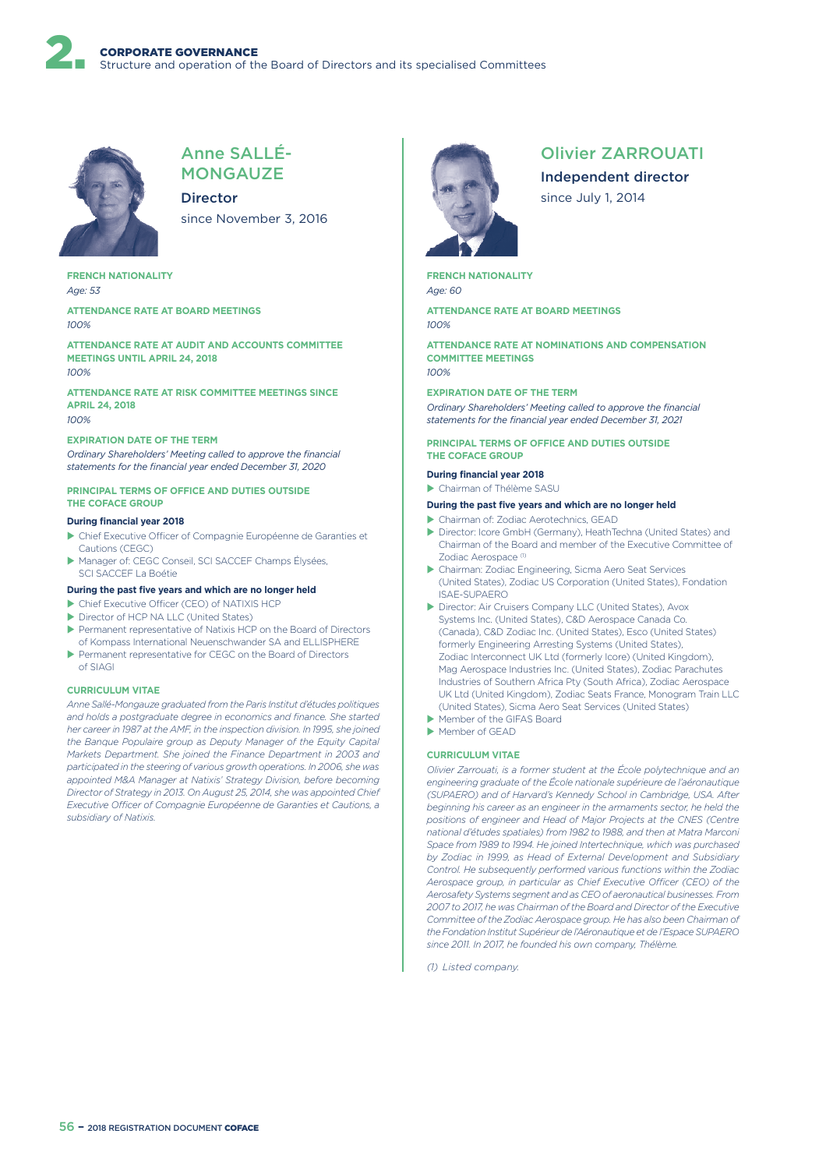

### Anne SALLÉ-**MONGAUZE**

Director since November 3, 2016

**FRENCH NATIONALITY** *Age: 53*

**ATTENDANCE RATE AT BOARD MEETINGS** *100%*

**ATTENDANCE RATE AT AUDIT AND ACCOUNTS COMMITTEE MEETINGS UNTIL APRIL 24, 2018** *100%*

**ATTENDANCE RATE AT RISK COMMITTEE MEETINGS SINCE APRIL 24, 2018** *100%*

#### **EXPIRATION DATE OF THE TERM**

*Ordinary Shareholders' Meeting called to approve the financial statements for the financial year ended December 31, 2020*

#### **PRINCIPAL TERMS OF OFFICE AND DUTIES OUTSIDE THE COFACE GROUP**

#### **During financial year 2018**

- $\blacktriangleright$  Chief Executive Officer of Compagnie Européenne de Garanties et Cautions (CEGC)
- Manager of: CEGC Conseil, SCI SACCEF Champs Élysées, SCI SACCEF La Boétie

#### **During the past five years and which are no longer held**

- $\blacktriangleright$  Chief Executive Officer (CEO) of NATIXIS HCP
- Director of HCP NA LLC (United States)
- ▶ Permanent representative of Natixis HCP on the Board of Directors of Kompass International Neuenschwander SA and ELLISPHERE
- ▶ Permanent representative for CEGC on the Board of Directors of SIAGI

#### **CURRICULUM VITAE**

*Anne Sallé-Mongauze graduated from the Paris Institut d'études politiques and holds a postgraduate degree in economics and finance. She started her career in 1987 at the AMF, in the inspection division. In 1995, she joined the Banque Populaire group as Deputy Manager of the Equity Capital Markets Department. She joined the Finance Department in 2003 and participated in the steering of various growth operations. In 2006, she was appointed M&A Manager at Natixis' Strategy Division, before becoming Director of Strategy in 2013. On August 25, 2014, she was appointed Chief Executive O3cer of Compagnie Européenne de Garanties et Cautions, a subsidiary of Natixis.*



### Olivier ZARROUATI

Independent director since July 1, 2014

**FRENCH NATIONALITY** *Age: 60*

**ATTENDANCE RATE AT BOARD MEETINGS** *100%*

**ATTENDANCE RATE AT NOMINATIONS AND COMPENSATION COMMITTEE MEETINGS** *100%*

#### **EXPIRATION DATE OF THE TERM**

*Ordinary Shareholders' Meeting called to approve the financial statements for the financial year ended December 31, 2021*

#### **PRINCIPAL TERMS OF OFFICE AND DUTIES OUTSIDE THE COFACE GROUP**

#### **During financial year 2018**

**Chairman of Thélème SASU** 

#### **During the past five years and which are no longer held**

- X Chairman of: Zodiac Aerotechnics, GEAD
- X Director: Icore GmbH (Germany), HeathTechna (United States) and Chairman of the Board and member of the Executive Committee of Zodiac Aerospace<sup>(1)</sup>
- X Chairman: Zodiac Engineering, Sicma Aero Seat Services (United States), Zodiac US Corporation (United States), Fondation ISAE-SUPAERO
- ▶ Director: Air Cruisers Company LLC (United States), Avox Systems Inc. (United States), C&D Aerospace Canada Co. (Canada), C&D Zodiac Inc. (United States), Esco (United States) formerly Engineering Arresting Systems (United States), Zodiac Interconnect UK Ltd (formerly Icore) (United Kingdom), Mag Aerospace Industries Inc. (United States), Zodiac Parachutes Industries of Southern Africa Pty (South Africa), Zodiac Aerospace UK Ltd (United Kingdom), Zodiac Seats France, Monogram Train LLC (United States), Sicma Aero Seat Services (United States)
- Member of the GIFAS Board
- $M$  Member of GEAD

#### **CURRICULUM VITAE**

*Olivier Zarrouati, is a former student at the École polytechnique and an engineering graduate of the École nationale supérieure de l'aéronautique (SUPAERO) and of Harvard's Kennedy School in Cambridge, USA. After beginning his career as an engineer in the armaments sector, he held the positions of engineer and Head of Major Projects at the CNES (Centre national d'études spatiales) from 1982 to 1988, and then at Matra Marconi Space from 1989 to 1994. He joined Intertechnique, which was purchased by Zodiac in 1999, as Head of External Development and Subsidiary Control. He subsequently performed various functions within the Zodiac*  Aerospace group, in particular as Chief Executive Officer (CEO) of the *Aerosafety Systems segment and as CEO of aeronautical businesses. From 2007 to 2017, he was Chairman of the Board and Director of the Executive Committee of the Zodiac Aerospace group. He has also been Chairman of the Fondation Institut Supérieur de l'Aéronautique et de l'Espace SUPAERO since 2011. In 2017, he founded his own company, Thélème.*

*(1) Listed company.*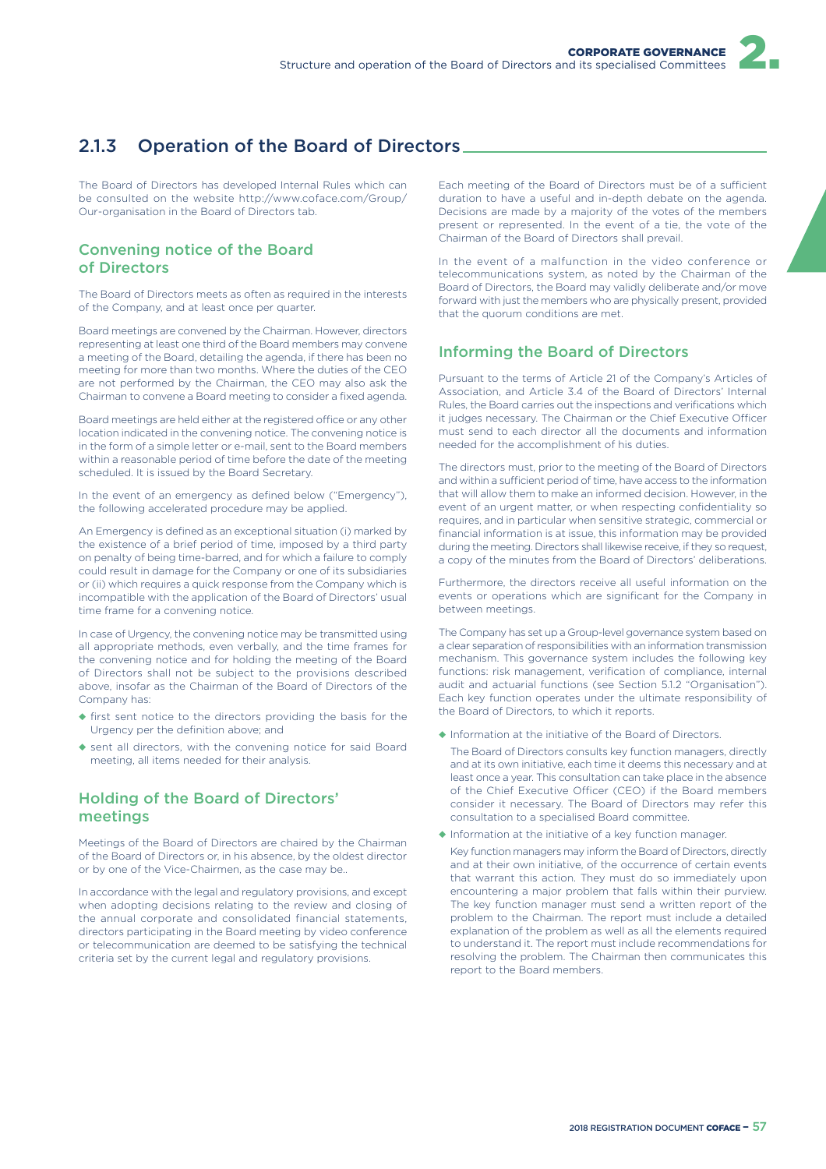# 2.1.3 Operation of the Board of Directors

The Board of Directors has developed Internal Rules which can be consulted on the website http://www.coface.com/Group/ Our-organisation in the Board of Directors tab.

### Convening notice of the Board of Directors

The Board of Directors meets as often as required in the interests of the Company, and at least once per quarter.

Board meetings are convened by the Chairman. However, directors representing at least one third of the Board members may convene a meeting of the Board, detailing the agenda, if there has been no meeting for more than two months. Where the duties of the CEO are not performed by the Chairman, the CEO may also ask the Chairman to convene a Board meeting to consider a fixed agenda.

Board meetings are held either at the registered office or any other location indicated in the convening notice. The convening notice is in the form of a simple letter or e-mail, sent to the Board members within a reasonable period of time before the date of the meeting scheduled. It is issued by the Board Secretary.

In the event of an emergency as defined below ("Emergency"), the following accelerated procedure may be applied.

An Emergency is defined as an exceptional situation (i) marked by the existence of a brief period of time, imposed by a third party on penalty of being time-barred, and for which a failure to comply could result in damage for the Company or one of its subsidiaries or (ii) which requires a quick response from the Company which is incompatible with the application of the Board of Directors' usual time frame for a convening notice.

In case of Urgency, the convening notice may be transmitted using all appropriate methods, even verbally, and the time frames for the convening notice and for holding the meeting of the Board of Directors shall not be subject to the provisions described above, insofar as the Chairman of the Board of Directors of the Company has:

- ◆ first sent notice to the directors providing the basis for the Urgency per the definition above; and
- ◆ sent all directors, with the convening notice for said Board meeting, all items needed for their analysis.

### Holding of the Board of Directors' meetings

Meetings of the Board of Directors are chaired by the Chairman of the Board of Directors or, in his absence, by the oldest director or by one of the Vice-Chairmen, as the case may be..

In accordance with the legal and regulatory provisions, and except when adopting decisions relating to the review and closing of the annual corporate and consolidated financial statements, directors participating in the Board meeting by video conference or telecommunication are deemed to be satisfying the technical criteria set by the current legal and regulatory provisions.

Each meeting of the Board of Directors must be of a sufficient duration to have a useful and in-depth debate on the agenda. Decisions are made by a majority of the votes of the members present or represented. In the event of a tie, the vote of the Chairman of the Board of Directors shall prevail.

In the event of a malfunction in the video conference or telecommunications system, as noted by the Chairman of the Board of Directors, the Board may validly deliberate and/or move forward with just the members who are physically present, provided that the quorum conditions are met.

## Informing the Board of Directors

Pursuant to the terms of Article 21 of the Company's Articles of Association, and Article 3.4 of the Board of Directors' Internal Rules, the Board carries out the inspections and verifications which it judges necessary. The Chairman or the Chief Executive Officer must send to each director all the documents and information needed for the accomplishment of his duties.

The directors must, prior to the meeting of the Board of Directors and within a sufficient period of time, have access to the information that will allow them to make an informed decision. However, in the event of an urgent matter, or when respecting confidentiality so requires, and in particular when sensitive strategic, commercial or financial information is at issue, this information may be provided during the meeting. Directors shall likewise receive, if they so request, a copy of the minutes from the Board of Directors' deliberations.

Furthermore, the directors receive all useful information on the events or operations which are significant for the Company in between meetings.

The Company has set up a Group-level governance system based on a clear separation of responsibilities with an information transmission mechanism. This governance system includes the following key functions: risk management, verification of compliance, internal audit and actuarial functions (see Section 5.1.2 "Organisation"). Each key function operates under the ultimate responsibility of the Board of Directors, to which it reports.

◆ Information at the initiative of the Board of Directors.

The Board of Directors consults key function managers, directly and at its own initiative, each time it deems this necessary and at least once a year. This consultation can take place in the absence of the Chief Executive Officer (CEO) if the Board members consider it necessary. The Board of Directors may refer this consultation to a specialised Board committee.

◆ Information at the initiative of a key function manager.

Key function managers may inform the Board of Directors, directly and at their own initiative, of the occurrence of certain events that warrant this action. They must do so immediately upon encountering a major problem that falls within their purview. The key function manager must send a written report of the problem to the Chairman. The report must include a detailed explanation of the problem as well as all the elements required to understand it. The report must include recommendations for resolving the problem. The Chairman then communicates this report to the Board members.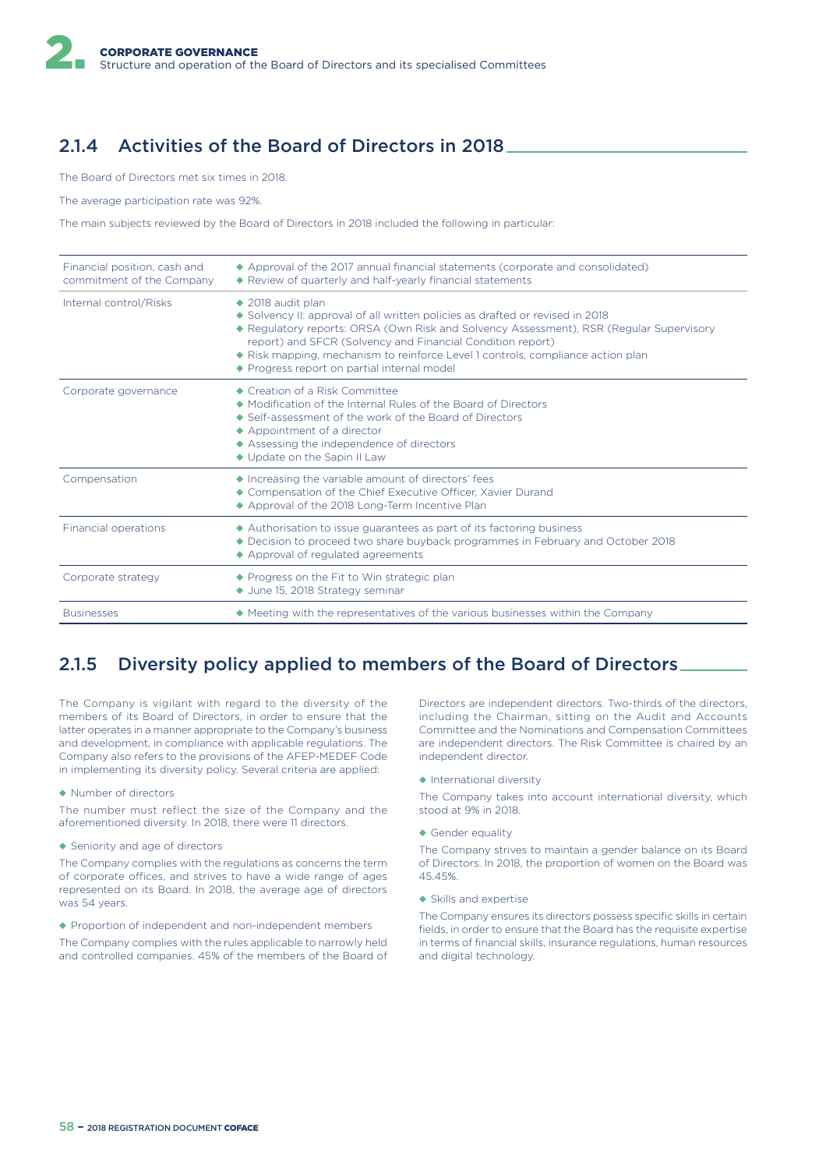# 2.1.4 Activities of the Board of Directors in 2018

The Board of Directors met six times in 2018.

The average participation rate was 92%.

The main subjects reviewed by the Board of Directors in 2018 included the following in particular:

| Financial position, cash and<br>commitment of the Company | ◆ Approval of the 2017 annual financial statements (corporate and consolidated)<br>◆ Review of quarterly and half-yearly financial statements                                                                                                                                                                                                                                                           |
|-----------------------------------------------------------|---------------------------------------------------------------------------------------------------------------------------------------------------------------------------------------------------------------------------------------------------------------------------------------------------------------------------------------------------------------------------------------------------------|
| Internal control/Risks                                    | $\triangle$ 2018 audit plan<br>◆ Solvency II: approval of all written policies as drafted or revised in 2018<br>◆ Regulatory reports: ORSA (Own Risk and Solvency Assessment), RSR (Regular Supervisory<br>report) and SFCR (Solvency and Financial Condition report)<br>• Risk mapping, mechanism to reinforce Level 1 controls, compliance action plan<br>◆ Progress report on partial internal model |
| Corporate governance                                      | ◆ Creation of a Risk Committee<br>• Modification of the Internal Rules of the Board of Directors<br>$\triangle$ Self-assessment of the work of the Board of Directors<br>$\triangle$ Appointment of a director<br>◆ Assessing the independence of directors<br>◆ Update on the Sapin II Law                                                                                                             |
| Compensation                                              | ◆ Increasing the variable amount of directors' fees<br>◆ Compensation of the Chief Executive Officer. Xavier Durand<br>◆ Approval of the 2018 Long-Term Incentive Plan                                                                                                                                                                                                                                  |
| Financial operations                                      | Authorisation to issue guarantees as part of its factoring business<br>◆ Decision to proceed two share buyback programmes in February and October 2018<br>◆ Approval of regulated agreements                                                                                                                                                                                                            |
| Corporate strategy                                        | ◆ Progress on the Fit to Win strategic plan<br>◆ June 15, 2018 Strategy seminar                                                                                                                                                                                                                                                                                                                         |
| <b>Businesses</b>                                         | ◆ Meeting with the representatives of the various businesses within the Company                                                                                                                                                                                                                                                                                                                         |

# 2.1.5 Diversity policy applied to members of the Board of Directors

The Company is vigilant with regard to the diversity of the members of its Board of Directors, in order to ensure that the latter operates in a manner appropriate to the Company's business and development, in compliance with applicable regulations. The Company also refers to the provisions of the AFEP-MEDEF Code in implementing its diversity policy. Several criteria are applied:

#### ◆ Number of directors

The number must reflect the size of the Company and the aforementioned diversity. In 2018, there were 11 directors.

◆ Seniority and age of directors

The Company complies with the regulations as concerns the term of corporate offices, and strives to have a wide range of ages represented on its Board. In 2018, the average age of directors was 54 years.

◆ Proportion of independent and non-independent members

The Company complies with the rules applicable to narrowly held and controlled companies. 45% of the members of the Board of Directors are independent directors. Two-thirds of the directors, including the Chairman, sitting on the Audit and Accounts Committee and the Nominations and Compensation Committees are independent directors. The Risk Committee is chaired by an independent director.

◆ International diversity

The Company takes into account international diversity, which stood at 9% in 2018.

◆ Gender equality

The Company strives to maintain a gender balance on its Board of Directors. In 2018, the proportion of women on the Board was 45.45%.

◆ Skills and expertise

The Company ensures its directors possess specific skills in certain fields, in order to ensure that the Board has the requisite expertise in terms of financial skills, insurance regulations, human resources and digital technology.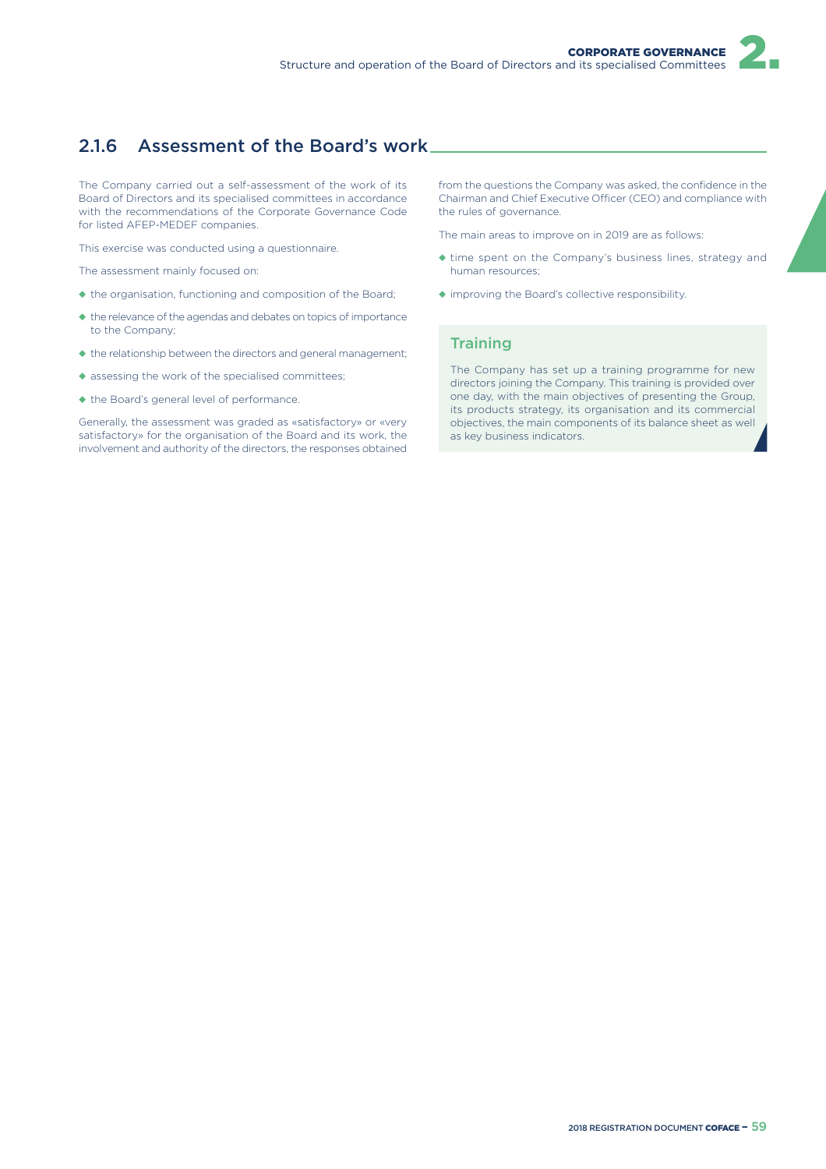# 2.1.6 Assessment of the Board's work

The Company carried out a self-assessment of the work of its Board of Directors and its specialised committees in accordance with the recommendations of the Corporate Governance Code for listed AFEP-MEDEF companies.

This exercise was conducted using a questionnaire.

The assessment mainly focused on:

- ◆ the organisation, functioning and composition of the Board;
- ◆ the relevance of the agendas and debates on topics of importance to the Company;
- ◆ the relationship between the directors and general management;
- ◆ assessing the work of the specialised committees;
- ◆ the Board's general level of performance.

Generally, the assessment was graded as «satisfactory» or «very satisfactory» for the organisation of the Board and its work, the involvement and authority of the directors, the responses obtained from the questions the Company was asked, the confidence in the Chairman and Chief Executive Officer (CEO) and compliance with the rules of governance.

The main areas to improve on in 2019 are as follows:

- ◆ time spent on the Company's business lines, strategy and human resources;
- ◆ improving the Board's collective responsibility.

### **Training**

The Company has set up a training programme for new directors joining the Company. This training is provided over one day, with the main objectives of presenting the Group, its products strategy, its organisation and its commercial objectives, the main components of its balance sheet as well as key business indicators.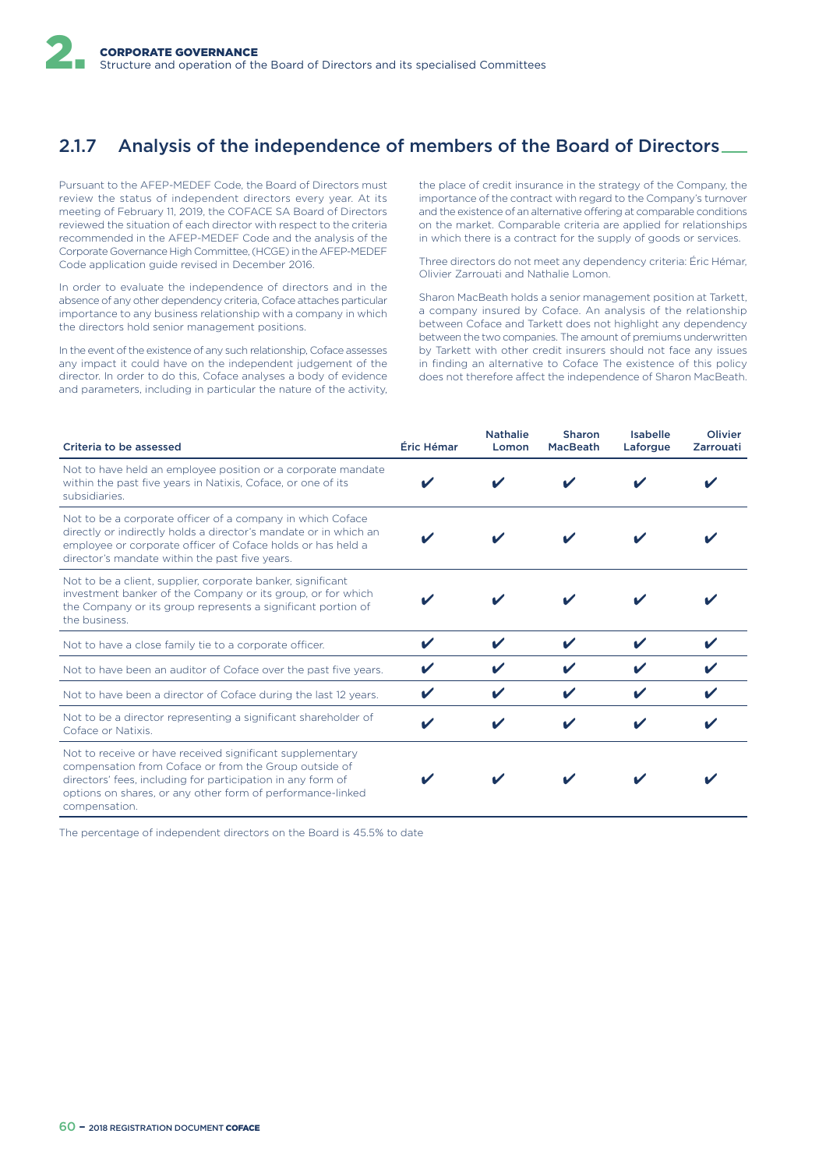# 2.1.7 Analysis of the independence of members of the Board of Directors

Pursuant to the AFEP-MEDEF Code, the Board of Directors must review the status of independent directors every year. At its meeting of February 11, 2019, the COFACE SA Board of Directors reviewed the situation of each director with respect to the criteria recommended in the AFEP-MEDEF Code and the analysis of the Corporate Governance High Committee, (HCGE) in the AFEP-MEDEF Code application guide revised in December 2016.

In order to evaluate the independence of directors and in the absence of any other dependency criteria, Coface attaches particular importance to any business relationship with a company in which the directors hold senior management positions.

In the event of the existence of any such relationship, Coface assesses any impact it could have on the independent judgement of the director. In order to do this, Coface analyses a body of evidence and parameters, including in particular the nature of the activity,

the place of credit insurance in the strategy of the Company, the importance of the contract with regard to the Company's turnover and the existence of an alternative offering at comparable conditions on the market. Comparable criteria are applied for relationships in which there is a contract for the supply of goods or services.

Three directors do not meet any dependency criteria: Éric Hémar, Olivier Zarrouati and Nathalie Lomon.

Sharon MacBeath holds a senior management position at Tarkett, a company insured by Coface. An analysis of the relationship between Coface and Tarkett does not highlight any dependency between the two companies. The amount of premiums underwritten by Tarkett with other credit insurers should not face any issues in finding an alternative to Coface The existence of this policy does not therefore affect the independence of Sharon MacBeath.

| Criteria to be assessed                                                                                                                                                                                                                                          | Éric Hémar | <b>Nathalie</b><br>Lomon | Sharon<br><b>MacBeath</b> | Isabelle<br>Laforgue | Olivier<br>Zarrouati |
|------------------------------------------------------------------------------------------------------------------------------------------------------------------------------------------------------------------------------------------------------------------|------------|--------------------------|---------------------------|----------------------|----------------------|
| Not to have held an employee position or a corporate mandate<br>within the past five years in Natixis, Coface, or one of its<br>subsidiaries.                                                                                                                    |            |                          |                           |                      |                      |
| Not to be a corporate officer of a company in which Coface<br>directly or indirectly holds a director's mandate or in which an<br>employee or corporate officer of Coface holds or has held a<br>director's mandate within the past five years.                  |            |                          |                           |                      |                      |
| Not to be a client, supplier, corporate banker, significant<br>investment banker of the Company or its group, or for which<br>the Company or its group represents a significant portion of<br>the business.                                                      |            |                          |                           |                      |                      |
| Not to have a close family tie to a corporate officer.                                                                                                                                                                                                           |            |                          |                           |                      |                      |
| Not to have been an auditor of Coface over the past five years.                                                                                                                                                                                                  |            |                          |                           |                      |                      |
| Not to have been a director of Coface during the last 12 years.                                                                                                                                                                                                  |            |                          |                           |                      |                      |
| Not to be a director representing a significant shareholder of<br>Coface or Natixis.                                                                                                                                                                             |            |                          |                           | v                    |                      |
| Not to receive or have received significant supplementary<br>compensation from Coface or from the Group outside of<br>directors' fees, including for participation in any form of<br>options on shares, or any other form of performance-linked<br>compensation. |            |                          |                           |                      |                      |

The percentage of independent directors on the Board is 45.5% to date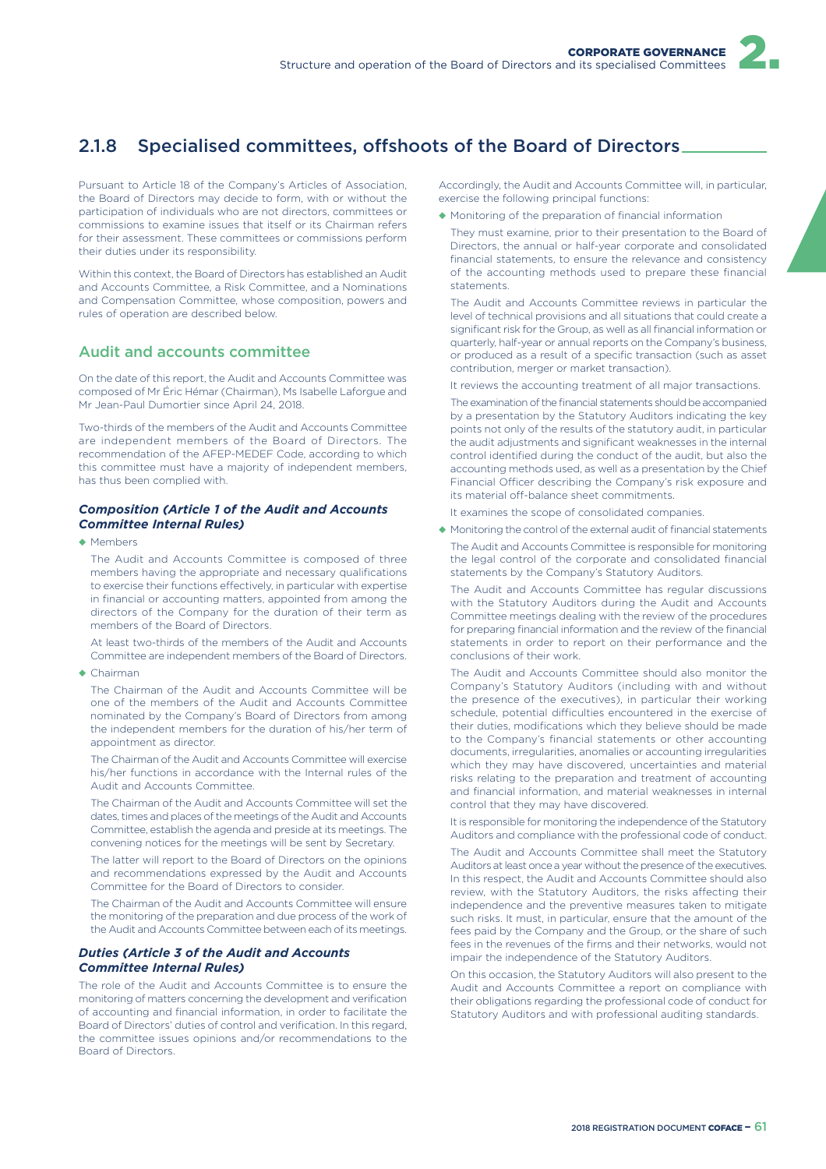

# 2.1.8 Specialised committees, offshoots of the Board of Directors.

Pursuant to Article 18 of the Company's Articles of Association, the Board of Directors may decide to form, with or without the participation of individuals who are not directors, committees or commissions to examine issues that itself or its Chairman refers for their assessment. These committees or commissions perform their duties under its responsibility.

Within this context, the Board of Directors has established an Audit and Accounts Committee, a Risk Committee, and a Nominations and Compensation Committee, whose composition, powers and rules of operation are described below.

### Audit and accounts committee

On the date of this report, the Audit and Accounts Committee was composed of Mr Éric Hémar (Chairman), Ms Isabelle Laforgue and Mr Jean-Paul Dumortier since April 24, 2018.

Two-thirds of the members of the Audit and Accounts Committee are independent members of the Board of Directors. The recommendation of the AFEP-MEDEF Code, according to which this committee must have a majority of independent members, has thus been complied with.

### *Composition (Article 1 of the Audit and Accounts Committee Internal Rules)*

◆ Members

The Audit and Accounts Committee is composed of three members having the appropriate and necessary qualifications to exercise their functions effectively, in particular with expertise in financial or accounting matters, appointed from among the directors of the Company for the duration of their term as members of the Board of Directors.

At least two-thirds of the members of the Audit and Accounts Committee are independent members of the Board of Directors.

◆ Chairman

The Chairman of the Audit and Accounts Committee will be one of the members of the Audit and Accounts Committee nominated by the Company's Board of Directors from among the independent members for the duration of his/her term of appointment as director.

The Chairman of the Audit and Accounts Committee will exercise his/her functions in accordance with the Internal rules of the Audit and Accounts Committee.

The Chairman of the Audit and Accounts Committee will set the dates, times and places of the meetings of the Audit and Accounts Committee, establish the agenda and preside at its meetings. The convening notices for the meetings will be sent by Secretary.

The latter will report to the Board of Directors on the opinions and recommendations expressed by the Audit and Accounts Committee for the Board of Directors to consider.

The Chairman of the Audit and Accounts Committee will ensure the monitoring of the preparation and due process of the work of the Audit and Accounts Committee between each of its meetings.

### *Duties (Article 3 of the Audit and Accounts Committee Internal Rules)*

The role of the Audit and Accounts Committee is to ensure the monitoring of matters concerning the development and verification of accounting and financial information, in order to facilitate the Board of Directors' duties of control and verification. In this regard, the committee issues opinions and/or recommendations to the Board of Directors.

Accordingly, the Audit and Accounts Committee will, in particular, exercise the following principal functions:

- ◆ Monitoring of the preparation of financial information
- They must examine, prior to their presentation to the Board of Directors, the annual or half-year corporate and consolidated financial statements, to ensure the relevance and consistency of the accounting methods used to prepare these financial statements.

The Audit and Accounts Committee reviews in particular the level of technical provisions and all situations that could create a significant risk for the Group, as well as all financial information or quarterly, half-year or annual reports on the Company's business, or produced as a result of a specific transaction (such as asset contribution, merger or market transaction).

It reviews the accounting treatment of all major transactions.

The examination of the financial statements should be accompanied by a presentation by the Statutory Auditors indicating the key points not only of the results of the statutory audit, in particular the audit adjustments and significant weaknesses in the internal control identified during the conduct of the audit, but also the accounting methods used, as well as a presentation by the Chief Financial Officer describing the Company's risk exposure and its material off-balance sheet commitments.

It examines the scope of consolidated companies.

◆ Monitoring the control of the external audit of financial statements The Audit and Accounts Committee is responsible for monitoring the legal control of the corporate and consolidated financial statements by the Company's Statutory Auditors.

The Audit and Accounts Committee has regular discussions with the Statutory Auditors during the Audit and Accounts Committee meetings dealing with the review of the procedures for preparing financial information and the review of the financial statements in order to report on their performance and the conclusions of their work.

The Audit and Accounts Committee should also monitor the Company's Statutory Auditors (including with and without the presence of the executives), in particular their working schedule, potential difficulties encountered in the exercise of their duties, modifications which they believe should be made to the Company's financial statements or other accounting documents, irregularities, anomalies or accounting irregularities which they may have discovered, uncertainties and material risks relating to the preparation and treatment of accounting and financial information, and material weaknesses in internal control that they may have discovered.

It is responsible for monitoring the independence of the Statutory Auditors and compliance with the professional code of conduct.

The Audit and Accounts Committee shall meet the Statutory Auditors at least once a year without the presence of the executives. In this respect, the Audit and Accounts Committee should also review, with the Statutory Auditors, the risks affecting their independence and the preventive measures taken to mitigate such risks. It must, in particular, ensure that the amount of the fees paid by the Company and the Group, or the share of such fees in the revenues of the firms and their networks, would not impair the independence of the Statutory Auditors.

On this occasion, the Statutory Auditors will also present to the Audit and Accounts Committee a report on compliance with their obligations regarding the professional code of conduct for Statutory Auditors and with professional auditing standards.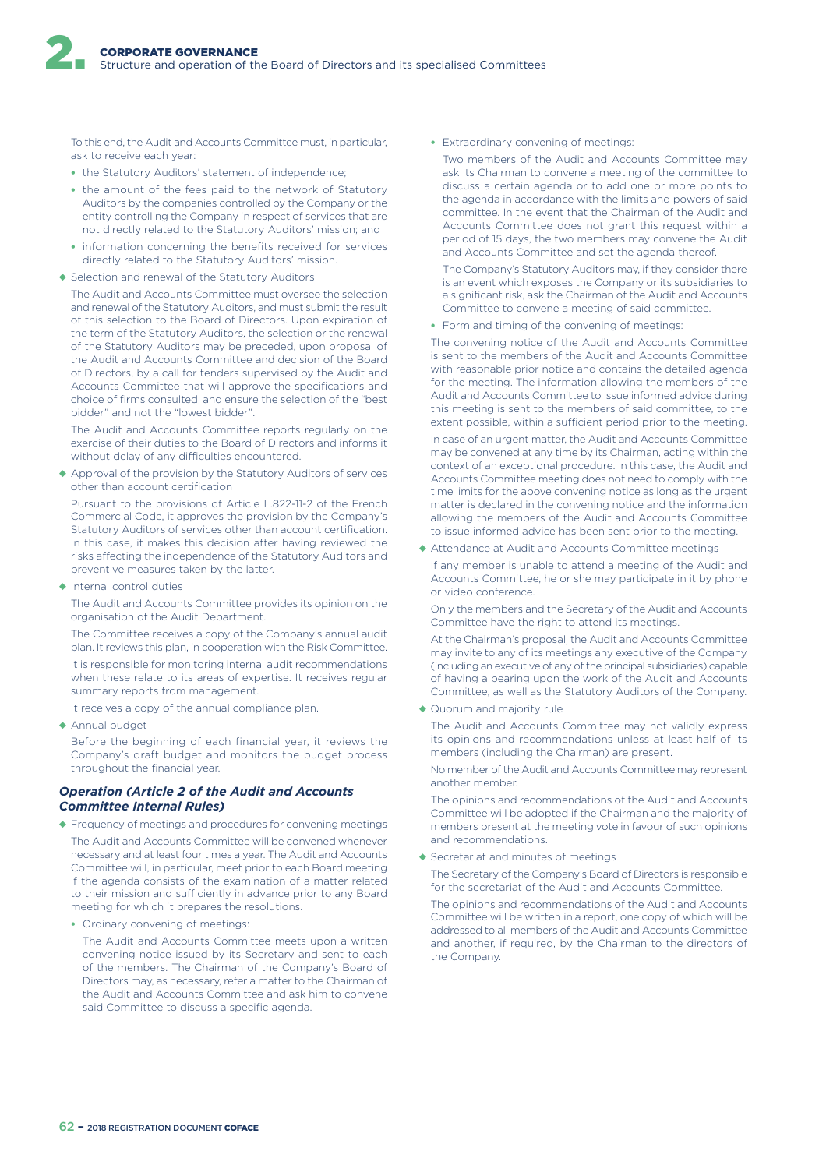To this end, the Audit and Accounts Committee must, in particular, ask to receive each year:

- the Statutory Auditors' statement of independence;
- the amount of the fees paid to the network of Statutory Auditors by the companies controlled by the Company or the entity controlling the Company in respect of services that are not directly related to the Statutory Auditors' mission; and
- information concerning the benefits received for services directly related to the Statutory Auditors' mission.
- ◆ Selection and renewal of the Statutory Auditors

The Audit and Accounts Committee must oversee the selection and renewal of the Statutory Auditors, and must submit the result of this selection to the Board of Directors. Upon expiration of the term of the Statutory Auditors, the selection or the renewal of the Statutory Auditors may be preceded, upon proposal of the Audit and Accounts Committee and decision of the Board of Directors, by a call for tenders supervised by the Audit and Accounts Committee that will approve the specifications and choice of firms consulted, and ensure the selection of the "best bidder" and not the "lowest bidder".

The Audit and Accounts Committee reports regularly on the exercise of their duties to the Board of Directors and informs it without delay of any difficulties encountered.

◆ Approval of the provision by the Statutory Auditors of services other than account certification

Pursuant to the provisions of Article L.822-11-2 of the French Commercial Code, it approves the provision by the Company's Statutory Auditors of services other than account certification. In this case, it makes this decision after having reviewed the risks affecting the independence of the Statutory Auditors and preventive measures taken by the latter.

◆ Internal control duties

The Audit and Accounts Committee provides its opinion on the organisation of the Audit Department.

The Committee receives a copy of the Company's annual audit plan. It reviews this plan, in cooperation with the Risk Committee.

It is responsible for monitoring internal audit recommendations when these relate to its areas of expertise. It receives regular summary reports from management.

It receives a copy of the annual compliance plan.

◆ Annual budget

Before the beginning of each financial year, it reviews the Company's draft budget and monitors the budget process throughout the financial year.

#### *Operation (Article 2 of the Audit and Accounts Committee Internal Rules)*

- ◆ Frequency of meetings and procedures for convening meetings
- The Audit and Accounts Committee will be convened whenever necessary and at least four times a year. The Audit and Accounts Committee will, in particular, meet prior to each Board meeting if the agenda consists of the examination of a matter related to their mission and sufficiently in advance prior to any Board meeting for which it prepares the resolutions.

• Ordinary convening of meetings:

The Audit and Accounts Committee meets upon a written convening notice issued by its Secretary and sent to each of the members. The Chairman of the Company's Board of Directors may, as necessary, refer a matter to the Chairman of the Audit and Accounts Committee and ask him to convene said Committee to discuss a specific agenda.

• Extraordinary convening of meetings:

Two members of the Audit and Accounts Committee may ask its Chairman to convene a meeting of the committee to discuss a certain agenda or to add one or more points to the agenda in accordance with the limits and powers of said committee. In the event that the Chairman of the Audit and Accounts Committee does not grant this request within a period of 15 days, the two members may convene the Audit and Accounts Committee and set the agenda thereof.

The Company's Statutory Auditors may, if they consider there is an event which exposes the Company or its subsidiaries to a significant risk, ask the Chairman of the Audit and Accounts Committee to convene a meeting of said committee.

• Form and timing of the convening of meetings:

The convening notice of the Audit and Accounts Committee is sent to the members of the Audit and Accounts Committee with reasonable prior notice and contains the detailed agenda for the meeting. The information allowing the members of the Audit and Accounts Committee to issue informed advice during this meeting is sent to the members of said committee, to the extent possible, within a sufficient period prior to the meeting.

In case of an urgent matter, the Audit and Accounts Committee may be convened at any time by its Chairman, acting within the context of an exceptional procedure. In this case, the Audit and Accounts Committee meeting does not need to comply with the time limits for the above convening notice as long as the urgent matter is declared in the convening notice and the information allowing the members of the Audit and Accounts Committee to issue informed advice has been sent prior to the meeting.

◆ Attendance at Audit and Accounts Committee meetings

If any member is unable to attend a meeting of the Audit and Accounts Committee, he or she may participate in it by phone or video conference.

Only the members and the Secretary of the Audit and Accounts Committee have the right to attend its meetings.

At the Chairman's proposal, the Audit and Accounts Committee may invite to any of its meetings any executive of the Company (including an executive of any of the principal subsidiaries) capable of having a bearing upon the work of the Audit and Accounts Committee, as well as the Statutory Auditors of the Company.

◆ Quorum and majority rule

The Audit and Accounts Committee may not validly express its opinions and recommendations unless at least half of its members (including the Chairman) are present.

No member of the Audit and Accounts Committee may represent another member.

The opinions and recommendations of the Audit and Accounts Committee will be adopted if the Chairman and the majority of members present at the meeting vote in favour of such opinions and recommendations.

◆ Secretariat and minutes of meetings

The Secretary of the Company's Board of Directors is responsible for the secretariat of the Audit and Accounts Committee.

The opinions and recommendations of the Audit and Accounts Committee will be written in a report, one copy of which will be addressed to all members of the Audit and Accounts Committee and another, if required, by the Chairman to the directors of the Company.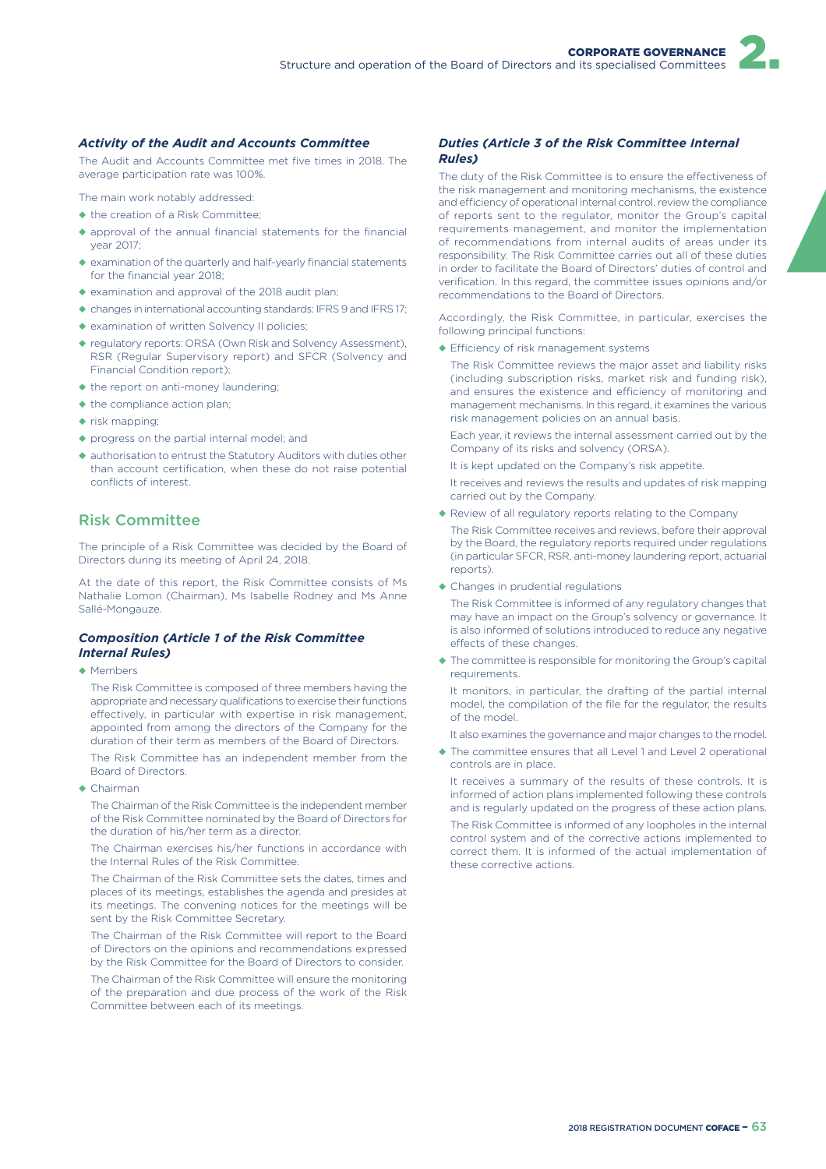#### *Activity of the Audit and Accounts Committee*

The Audit and Accounts Committee met five times in 2018. The average participation rate was 100%.

The main work notably addressed:

- ◆ the creation of a Risk Committee;
- ◆ approval of the annual financial statements for the financial year 2017;
- ◆ examination of the quarterly and half-yearly financial statements for the financial year 2018;
- ◆ examination and approval of the 2018 audit plan;
- ◆ changes in international accounting standards: IFRS 9 and IFRS 17;
- ◆ examination of written Solvency II policies;
- ◆ regulatory reports: ORSA (Own Risk and Solvency Assessment), RSR (Regular Supervisory report) and SFCR (Solvency and Financial Condition report);
- ◆ the report on anti-money laundering;
- ◆ the compliance action plan;
- ◆ risk mapping;
- ◆ progress on the partial internal model; and
- ◆ authorisation to entrust the Statutory Auditors with duties other than account certification, when these do not raise potential conflicts of interest.

### Risk Committee

The principle of a Risk Committee was decided by the Board of Directors during its meeting of April 24, 2018.

At the date of this report, the Risk Committee consists of Ms Nathalie Lomon (Chairman), Ms Isabelle Rodney and Ms Anne Sallé-Mongauze.

#### *Composition (Article 1 of the Risk Committee Internal Rules)*

◆ Members

The Risk Committee is composed of three members having the appropriate and necessary qualifications to exercise their functions effectively, in particular with expertise in risk management. appointed from among the directors of the Company for the duration of their term as members of the Board of Directors.

The Risk Committee has an independent member from the Board of Directors.

◆ Chairman

The Chairman of the Risk Committee is the independent member of the Risk Committee nominated by the Board of Directors for the duration of his/her term as a director.

The Chairman exercises his/her functions in accordance with the Internal Rules of the Risk Committee.

The Chairman of the Risk Committee sets the dates, times and places of its meetings, establishes the agenda and presides at its meetings. The convening notices for the meetings will be sent by the Risk Committee Secretary.

The Chairman of the Risk Committee will report to the Board of Directors on the opinions and recommendations expressed by the Risk Committee for the Board of Directors to consider.

The Chairman of the Risk Committee will ensure the monitoring of the preparation and due process of the work of the Risk Committee between each of its meetings.

### *Duties (Article 3 of the Risk Committee Internal Rules)*

The duty of the Risk Committee is to ensure the effectiveness of the risk management and monitoring mechanisms, the existence and efficiency of operational internal control, review the compliance of reports sent to the regulator, monitor the Group's capital requirements management, and monitor the implementation of recommendations from internal audits of areas under its responsibility. The Risk Committee carries out all of these duties in order to facilitate the Board of Directors' duties of control and verification. In this regard, the committee issues opinions and/or recommendations to the Board of Directors.

Accordingly, the Risk Committee, in particular, exercises the following principal functions:

 $\triangle$  Efficiency of risk management systems

The Risk Committee reviews the major asset and liability risks (including subscription risks, market risk and funding risk), and ensures the existence and efficiency of monitoring and management mechanisms. In this regard, it examines the various risk management policies on an annual basis.

Each year, it reviews the internal assessment carried out by the Company of its risks and solvency (ORSA).

It is kept updated on the Company's risk appetite.

It receives and reviews the results and updates of risk mapping carried out by the Company.

◆ Review of all regulatory reports relating to the Company

The Risk Committee receives and reviews, before their approval by the Board, the regulatory reports required under regulations (in particular SFCR, RSR, anti-money laundering report, actuarial reports).

◆ Changes in prudential regulations

The Risk Committee is informed of any regulatory changes that may have an impact on the Group's solvency or governance. It is also informed of solutions introduced to reduce any negative effects of these changes.

◆ The committee is responsible for monitoring the Group's capital requirements.

It monitors, in particular, the drafting of the partial internal model, the compilation of the file for the regulator, the results of the model.

It also examines the governance and major changes to the model.

◆ The committee ensures that all Level 1 and Level 2 operational controls are in place.

It receives a summary of the results of these controls. It is informed of action plans implemented following these controls and is regularly updated on the progress of these action plans. The Risk Committee is informed of any loopholes in the internal control system and of the corrective actions implemented to correct them. It is informed of the actual implementation of these corrective actions.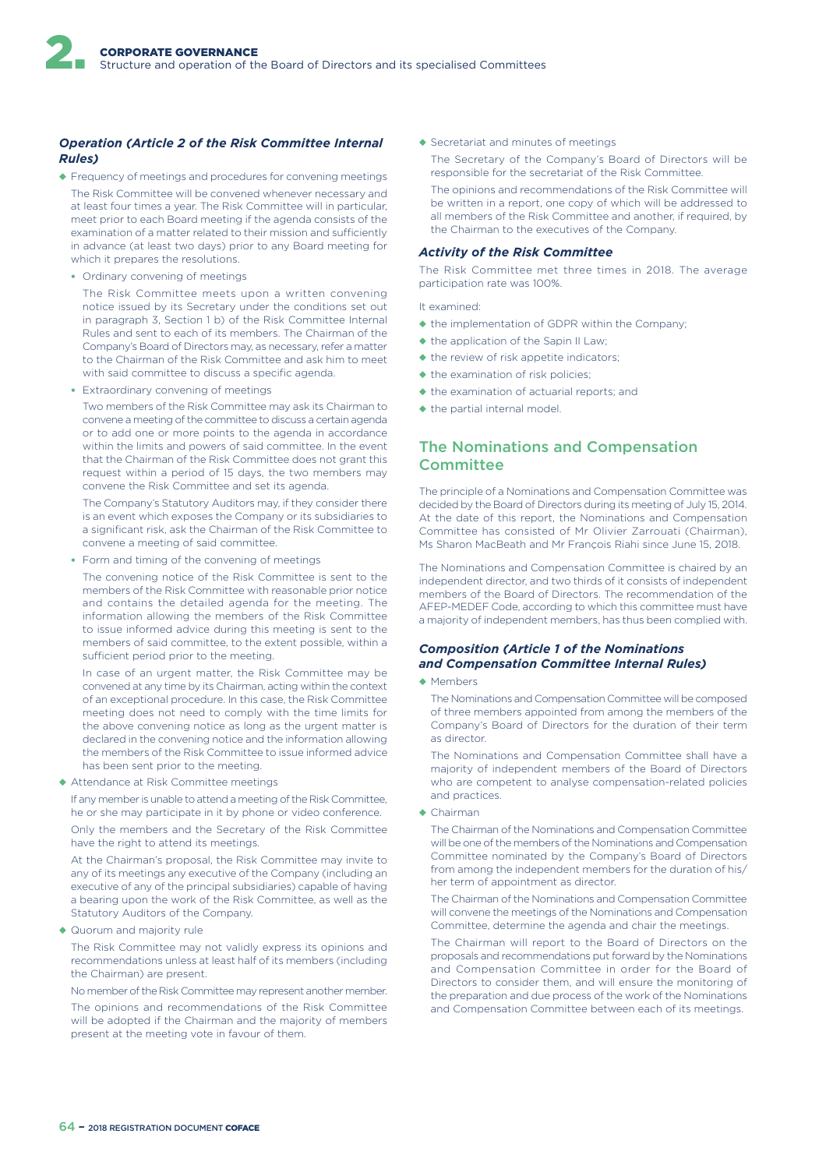### *Operation (Article 2 of the Risk Committee Internal Rules)*

- ◆ Frequency of meetings and procedures for convening meetings The Risk Committee will be convened whenever necessary and at least four times a year. The Risk Committee will in particular, meet prior to each Board meeting if the agenda consists of the examination of a matter related to their mission and sufficiently in advance (at least two days) prior to any Board meeting for which it prepares the resolutions.
	- Ordinary convening of meetings

The Risk Committee meets upon a written convening notice issued by its Secretary under the conditions set out in paragraph 3, Section 1 b) of the Risk Committee Internal Rules and sent to each of its members. The Chairman of the Company's Board of Directors may, as necessary, refer a matter to the Chairman of the Risk Committee and ask him to meet with said committee to discuss a specific agenda.

• Extraordinary convening of meetings

Two members of the Risk Committee may ask its Chairman to convene a meeting of the committee to discuss a certain agenda or to add one or more points to the agenda in accordance within the limits and powers of said committee. In the event that the Chairman of the Risk Committee does not grant this request within a period of 15 days, the two members may convene the Risk Committee and set its agenda.

The Company's Statutory Auditors may, if they consider there is an event which exposes the Company or its subsidiaries to a significant risk, ask the Chairman of the Risk Committee to convene a meeting of said committee.

• Form and timing of the convening of meetings

The convening notice of the Risk Committee is sent to the members of the Risk Committee with reasonable prior notice and contains the detailed agenda for the meeting. The information allowing the members of the Risk Committee to issue informed advice during this meeting is sent to the members of said committee, to the extent possible, within a sufficient period prior to the meeting.

In case of an urgent matter, the Risk Committee may be convened at any time by its Chairman, acting within the context of an exceptional procedure. In this case, the Risk Committee meeting does not need to comply with the time limits for the above convening notice as long as the urgent matter is declared in the convening notice and the information allowing the members of the Risk Committee to issue informed advice has been sent prior to the meeting.

◆ Attendance at Risk Committee meetings

If any member is unable to attend a meeting of the Risk Committee, he or she may participate in it by phone or video conference.

Only the members and the Secretary of the Risk Committee have the right to attend its meetings.

At the Chairman's proposal, the Risk Committee may invite to any of its meetings any executive of the Company (including an executive of any of the principal subsidiaries) capable of having a bearing upon the work of the Risk Committee, as well as the Statutory Auditors of the Company.

◆ Quorum and majority rule

The Risk Committee may not validly express its opinions and recommendations unless at least half of its members (including the Chairman) are present.

No member of the Risk Committee may represent another member.

The opinions and recommendations of the Risk Committee will be adopted if the Chairman and the majority of members present at the meeting vote in favour of them.

◆ Secretariat and minutes of meetings

The Secretary of the Company's Board of Directors will be responsible for the secretariat of the Risk Committee.

The opinions and recommendations of the Risk Committee will be written in a report, one copy of which will be addressed to all members of the Risk Committee and another, if required, by the Chairman to the executives of the Company.

#### *Activity of the Risk Committee*

The Risk Committee met three times in 2018. The average participation rate was 100%.

It examined:

- ◆ the implementation of GDPR within the Company;
- ◆ the application of the Sapin II Law;
- ◆ the review of risk appetite indicators;
- $\bullet$  the examination of risk policies:
- ◆ the examination of actuarial reports; and
- ◆ the partial internal model.

### The Nominations and Compensation **Committee**

The principle of a Nominations and Compensation Committee was decided by the Board of Directors during its meeting of July 15, 2014. At the date of this report, the Nominations and Compensation Committee has consisted of Mr Olivier Zarrouati (Chairman), Ms Sharon MacBeath and Mr François Riahi since June 15, 2018.

The Nominations and Compensation Committee is chaired by an independent director, and two thirds of it consists of independent members of the Board of Directors. The recommendation of the AFEP-MEDEF Code, according to which this committee must have a majority of independent members, has thus been complied with.

#### *Composition (Article 1 of the Nominations and Compensation Committee Internal Rules)*

◆ Members

The Nominations and Compensation Committee will be composed of three members appointed from among the members of the Company's Board of Directors for the duration of their term as director.

The Nominations and Compensation Committee shall have a majority of independent members of the Board of Directors who are competent to analyse compensation-related policies and practices.

◆ Chairman

The Chairman of the Nominations and Compensation Committee will be one of the members of the Nominations and Compensation Committee nominated by the Company's Board of Directors from among the independent members for the duration of his/ her term of appointment as director.

The Chairman of the Nominations and Compensation Committee will convene the meetings of the Nominations and Compensation Committee, determine the agenda and chair the meetings.

The Chairman will report to the Board of Directors on the proposals and recommendations put forward by the Nominations and Compensation Committee in order for the Board of Directors to consider them, and will ensure the monitoring of the preparation and due process of the work of the Nominations and Compensation Committee between each of its meetings.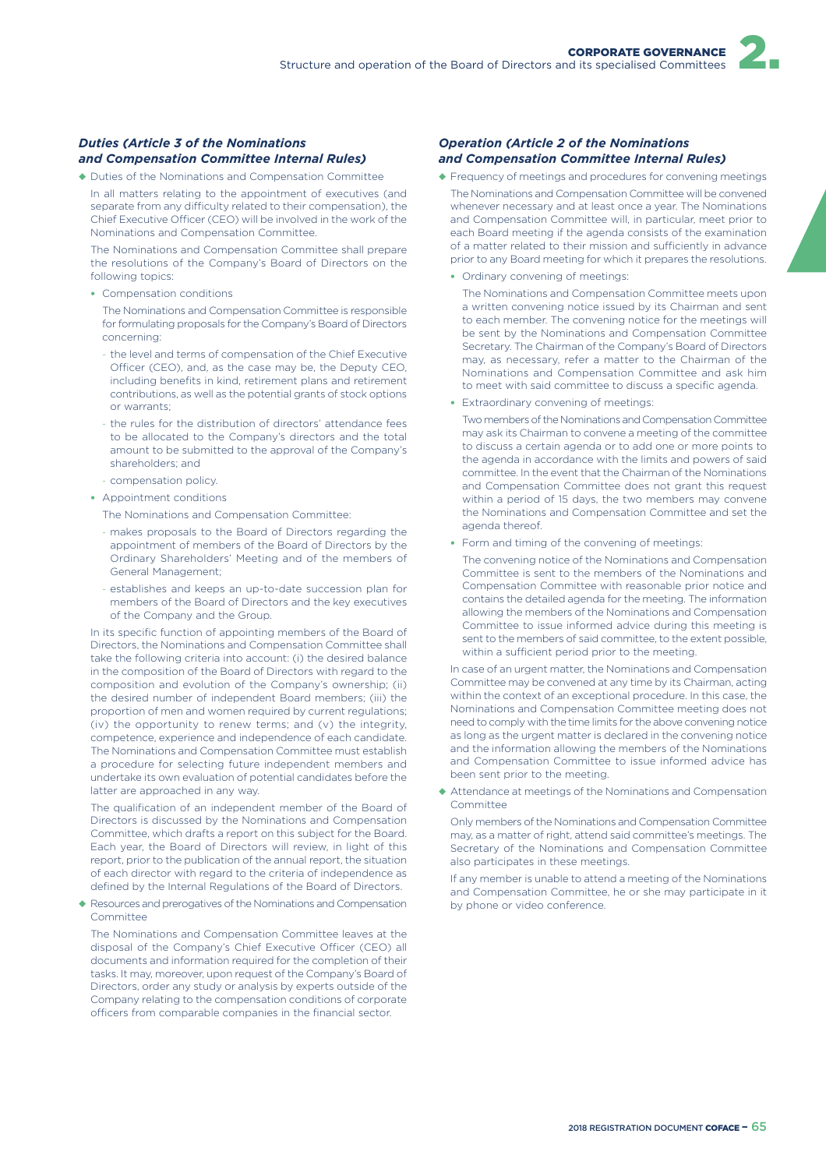### *Duties (Article 3 of the Nominations and Compensation Committee Internal Rules)*

- ◆ Duties of the Nominations and Compensation Committee
- In all matters relating to the appointment of executives (and separate from any difficulty related to their compensation), the Chief Executive Officer (CEO) will be involved in the work of the Nominations and Compensation Committee.

The Nominations and Compensation Committee shall prepare the resolutions of the Company's Board of Directors on the following topics:

• Compensation conditions

The Nominations and Compensation Committee is responsible for formulating proposals for the Company's Board of Directors concerning:

- the level and terms of compensation of the Chief Executive Officer (CEO), and, as the case may be, the Deputy CEO, including benefits in kind, retirement plans and retirement contributions, as well as the potential grants of stock options or warrants;
- the rules for the distribution of directors' attendance fees to be allocated to the Company's directors and the total amount to be submitted to the approval of the Company's shareholders; and
- compensation policy.
- Appointment conditions
	- The Nominations and Compensation Committee:
	- makes proposals to the Board of Directors regarding the appointment of members of the Board of Directors by the Ordinary Shareholders' Meeting and of the members of General Management;
	- establishes and keeps an up-to-date succession plan for members of the Board of Directors and the key executives of the Company and the Group.

In its specific function of appointing members of the Board of Directors, the Nominations and Compensation Committee shall take the following criteria into account: (i) the desired balance in the composition of the Board of Directors with regard to the composition and evolution of the Company's ownership; (ii) the desired number of independent Board members; (iii) the proportion of men and women required by current regulations; (iv) the opportunity to renew terms; and (v) the integrity, competence, experience and independence of each candidate. The Nominations and Compensation Committee must establish a procedure for selecting future independent members and undertake its own evaluation of potential candidates before the latter are approached in any way.

The qualification of an independent member of the Board of Directors is discussed by the Nominations and Compensation Committee, which drafts a report on this subject for the Board. Each year, the Board of Directors will review, in light of this report, prior to the publication of the annual report, the situation of each director with regard to the criteria of independence as defined by the Internal Regulations of the Board of Directors.

◆ Resources and prerogatives of the Nominations and Compensation Committee

The Nominations and Compensation Committee leaves at the disposal of the Company's Chief Executive Officer (CEO) all documents and information required for the completion of their tasks. It may, moreover, upon request of the Company's Board of Directors, order any study or analysis by experts outside of the Company relating to the compensation conditions of corporate officers from comparable companies in the financial sector.

#### *Operation (Article 2 of the Nominations and Compensation Committee Internal Rules)*

- ◆ Frequency of meetings and procedures for convening meetings The Nominations and Compensation Committee will be convened whenever necessary and at least once a year. The Nominations and Compensation Committee will, in particular, meet prior to each Board meeting if the agenda consists of the examination of a matter related to their mission and sufficiently in advance prior to any Board meeting for which it prepares the resolutions.
	- Ordinary convening of meetings:

The Nominations and Compensation Committee meets upon a written convening notice issued by its Chairman and sent to each member. The convening notice for the meetings will be sent by the Nominations and Compensation Committee Secretary. The Chairman of the Company's Board of Directors may, as necessary, refer a matter to the Chairman of the Nominations and Compensation Committee and ask him to meet with said committee to discuss a specific agenda.

• Extraordinary convening of meetings:

Two members of the Nominations and Compensation Committee may ask its Chairman to convene a meeting of the committee to discuss a certain agenda or to add one or more points to the agenda in accordance with the limits and powers of said committee. In the event that the Chairman of the Nominations and Compensation Committee does not grant this request within a period of 15 days, the two members may convene the Nominations and Compensation Committee and set the agenda thereof.

- Form and timing of the convening of meetings:
	- The convening notice of the Nominations and Compensation Committee is sent to the members of the Nominations and Compensation Committee with reasonable prior notice and contains the detailed agenda for the meeting. The information allowing the members of the Nominations and Compensation Committee to issue informed advice during this meeting is sent to the members of said committee, to the extent possible, within a sufficient period prior to the meeting.

In case of an urgent matter, the Nominations and Compensation Committee may be convened at any time by its Chairman, acting within the context of an exceptional procedure. In this case, the Nominations and Compensation Committee meeting does not need to comply with the time limits for the above convening notice as long as the urgent matter is declared in the convening notice and the information allowing the members of the Nominations and Compensation Committee to issue informed advice has been sent prior to the meeting.

◆ Attendance at meetings of the Nominations and Compensation Committee

Only members of the Nominations and Compensation Committee may, as a matter of right, attend said committee's meetings. The Secretary of the Nominations and Compensation Committee also participates in these meetings.

If any member is unable to attend a meeting of the Nominations and Compensation Committee, he or she may participate in it by phone or video conference.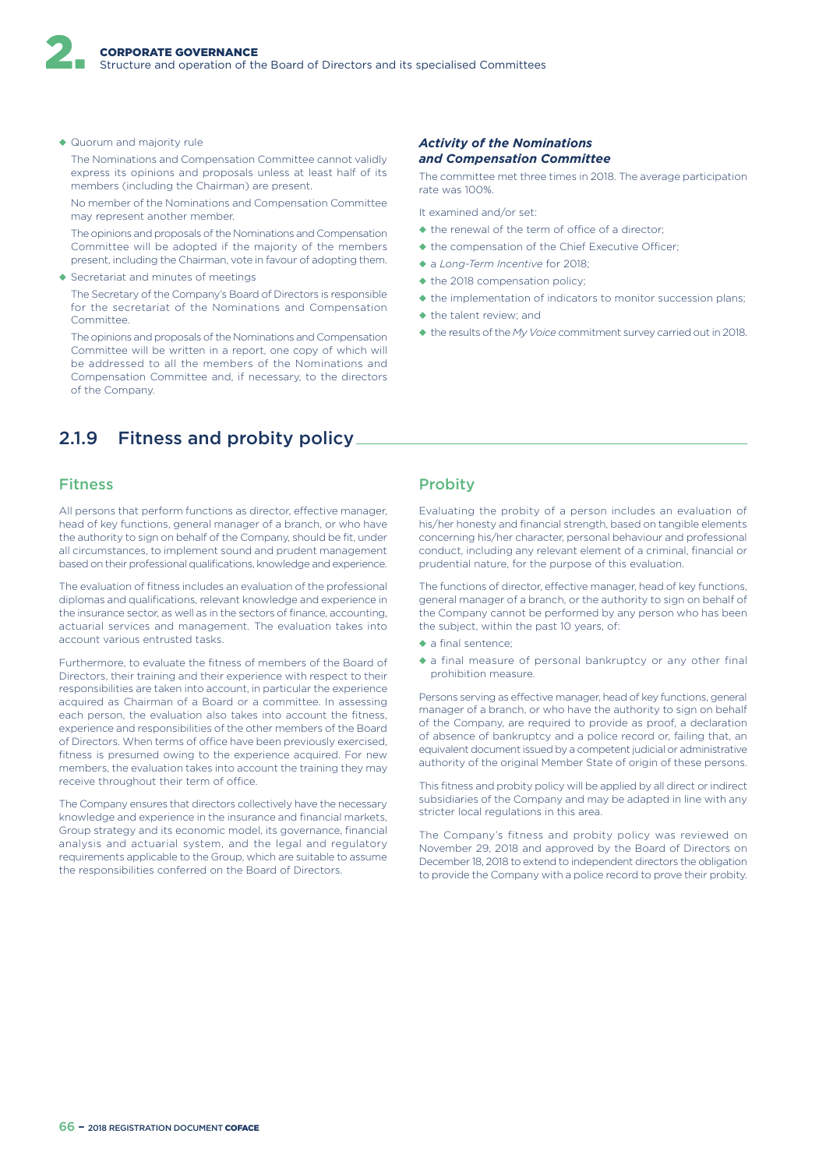◆ Quorum and majority rule

The Nominations and Compensation Committee cannot validly express its opinions and proposals unless at least half of its members (including the Chairman) are present.

No member of the Nominations and Compensation Committee may represent another member.

The opinions and proposals of the Nominations and Compensation Committee will be adopted if the majority of the members present, including the Chairman, vote in favour of adopting them.

◆ Secretariat and minutes of meetings

The Secretary of the Company's Board of Directors is responsible for the secretariat of the Nominations and Compensation Committee.

The opinions and proposals of the Nominations and Compensation Committee will be written in a report, one copy of which will be addressed to all the members of the Nominations and Compensation Committee and, if necessary, to the directors of the Company.

# 2.1.9 Fitness and probity policy

### Fitness

All persons that perform functions as director, effective manager, head of key functions, general manager of a branch, or who have the authority to sign on behalf of the Company, should be fit, under all circumstances, to implement sound and prudent management based on their professional qualifications, knowledge and experience.

The evaluation of fitness includes an evaluation of the professional diplomas and qualifications, relevant knowledge and experience in the insurance sector, as well as in the sectors of finance, accounting, actuarial services and management. The evaluation takes into account various entrusted tasks.

Furthermore, to evaluate the fitness of members of the Board of Directors, their training and their experience with respect to their responsibilities are taken into account, in particular the experience acquired as Chairman of a Board or a committee. In assessing each person, the evaluation also takes into account the fitness, experience and responsibilities of the other members of the Board of Directors. When terms of office have been previously exercised, fitness is presumed owing to the experience acquired. For new members, the evaluation takes into account the training they may receive throughout their term of office.

The Company ensures that directors collectively have the necessary knowledge and experience in the insurance and financial markets, Group strategy and its economic model, its governance, financial analysis and actuarial system, and the legal and regulatory requirements applicable to the Group, which are suitable to assume the responsibilities conferred on the Board of Directors.

#### *Activity of the Nominations and Compensation Committee*

The committee met three times in 2018. The average participation rate was 100%.

It examined and/or set:

- $\triangle$  the renewal of the term of office of a director;
- ◆ the compensation of the Chief Executive Officer;
- ◆ a *Long-Term Incentive* for 2018;
- ◆ the 2018 compensation policy;
- ◆ the implementation of indicators to monitor succession plans;
- ◆ the talent review; and
- ◆ the results of the *My Voice* commitment survey carried out in 2018.

### **Probity**

Evaluating the probity of a person includes an evaluation of his/her honesty and financial strength, based on tangible elements concerning his/her character, personal behaviour and professional conduct, including any relevant element of a criminal, financial or prudential nature, for the purpose of this evaluation.

The functions of director, effective manager, head of key functions, general manager of a branch, or the authority to sign on behalf of the Company cannot be performed by any person who has been the subject, within the past 10 years, of:

- ◆ a final sentence:
- ◆ a final measure of personal bankruptcy or any other final prohibition measure.

Persons serving as effective manager, head of key functions, general manager of a branch, or who have the authority to sign on behalf of the Company, are required to provide as proof, a declaration of absence of bankruptcy and a police record or, failing that, an equivalent document issued by a competent judicial or administrative authority of the original Member State of origin of these persons.

This fitness and probity policy will be applied by all direct or indirect subsidiaries of the Company and may be adapted in line with any stricter local regulations in this area.

The Company's fitness and probity policy was reviewed on November 29, 2018 and approved by the Board of Directors on December 18, 2018 to extend to independent directors the obligation to provide the Company with a police record to prove their probity.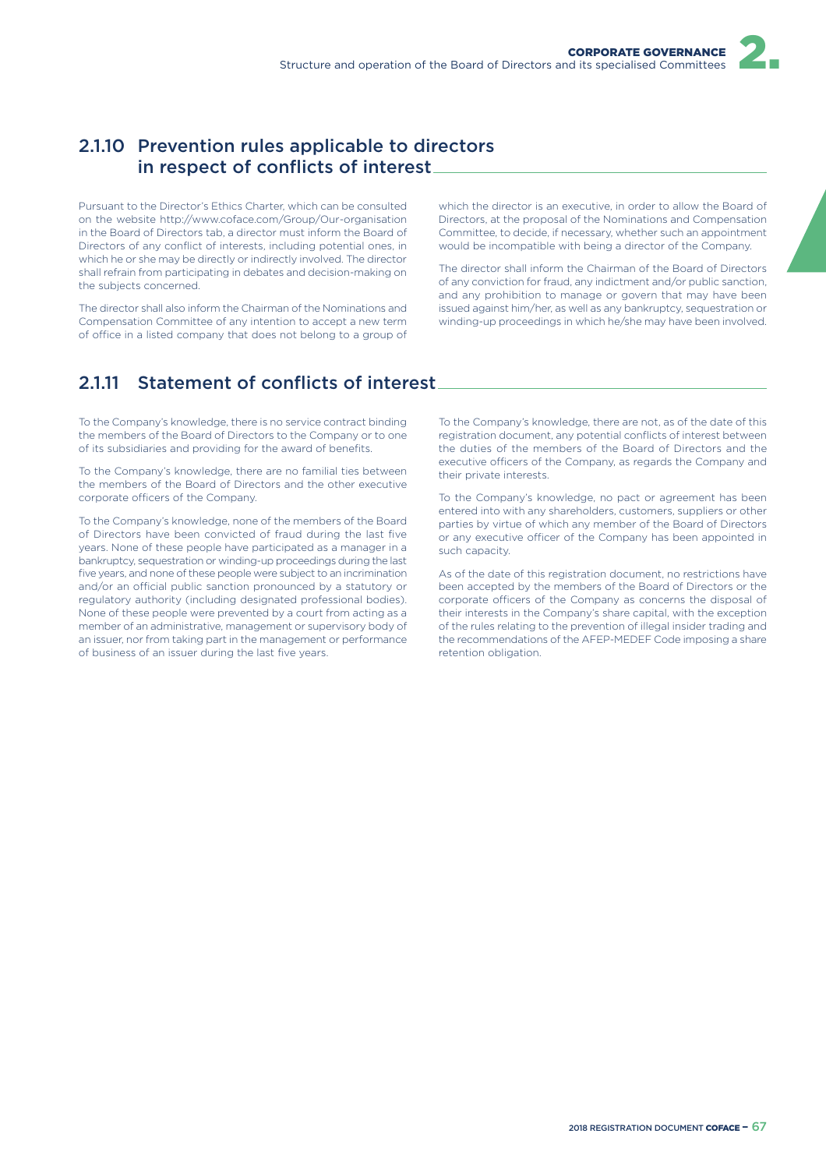# 2.1.10 Prevention rules applicable to directors in respect of conflicts of interest

Pursuant to the Director's Ethics Charter, which can be consulted on the website http://www.coface.com/Group/Our-organisation in the Board of Directors tab, a director must inform the Board of Directors of any conflict of interests, including potential ones, in which he or she may be directly or indirectly involved. The director shall refrain from participating in debates and decision-making on the subjects concerned.

The director shall also inform the Chairman of the Nominations and Compensation Committee of any intention to accept a new term of office in a listed company that does not belong to a group of

which the director is an executive, in order to allow the Board of Directors, at the proposal of the Nominations and Compensation Committee, to decide, if necessary, whether such an appointment would be incompatible with being a director of the Company.

The director shall inform the Chairman of the Board of Directors of any conviction for fraud, any indictment and/or public sanction, and any prohibition to manage or govern that may have been issued against him/her, as well as any bankruptcy, sequestration or winding-up proceedings in which he/she may have been involved.

# 2.1.11 Statement of conflicts of interest

To the Company's knowledge, there is no service contract binding the members of the Board of Directors to the Company or to one of its subsidiaries and providing for the award of benefits.

To the Company's knowledge, there are no familial ties between the members of the Board of Directors and the other executive corporate officers of the Company.

To the Company's knowledge, none of the members of the Board of Directors have been convicted of fraud during the last five years. None of these people have participated as a manager in a bankruptcy, sequestration or winding-up proceedings during the last five years, and none of these people were subject to an incrimination and/or an official public sanction pronounced by a statutory or regulatory authority (including designated professional bodies). None of these people were prevented by a court from acting as a member of an administrative, management or supervisory body of an issuer, nor from taking part in the management or performance of business of an issuer during the last five years.

To the Company's knowledge, there are not, as of the date of this registration document, any potential conflicts of interest between the duties of the members of the Board of Directors and the executive officers of the Company, as regards the Company and their private interests.

To the Company's knowledge, no pact or agreement has been entered into with any shareholders, customers, suppliers or other parties by virtue of which any member of the Board of Directors or any executive officer of the Company has been appointed in such capacity.

As of the date of this registration document, no restrictions have been accepted by the members of the Board of Directors or the corporate officers of the Company as concerns the disposal of their interests in the Company's share capital, with the exception of the rules relating to the prevention of illegal insider trading and the recommendations of the AFEP-MEDEF Code imposing a share retention obligation.